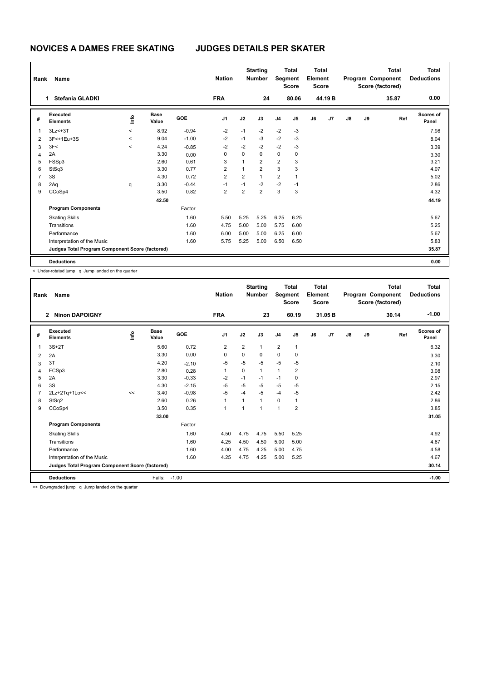| Rank           | Name                                            |                     |                      |            | <b>Nation</b>  |                | <b>Starting</b><br><b>Number</b> | Segment        | <b>Total</b><br><b>Score</b> | Total<br>Element<br><b>Score</b> |        |    |    | Total<br>Program Component<br>Score (factored) | <b>Total</b><br><b>Deductions</b> |
|----------------|-------------------------------------------------|---------------------|----------------------|------------|----------------|----------------|----------------------------------|----------------|------------------------------|----------------------------------|--------|----|----|------------------------------------------------|-----------------------------------|
|                | <b>Stefania GLADKI</b><br>1.                    |                     |                      |            | <b>FRA</b>     |                | 24                               |                | 80.06                        |                                  | 44.19B |    |    | 35.87                                          | 0.00                              |
| #              | Executed<br><b>Elements</b>                     | ١m                  | <b>Base</b><br>Value | <b>GOE</b> | J <sub>1</sub> | J2             | J3                               | J <sub>4</sub> | J <sub>5</sub>               | J6                               | J7     | J8 | J9 | Ref                                            | Scores of<br>Panel                |
| 1              | $3Lz<+3T$                                       | $\hat{\phantom{a}}$ | 8.92                 | $-0.94$    | $-2$           | $-1$           | $-2$                             | $-2$           | $-3$                         |                                  |        |    |    |                                                | 7.98                              |
| $\overline{2}$ | 3F<+1Eu+3S                                      | $\,<\,$             | 9.04                 | $-1.00$    | $-2$           | $-1$           | $-3$                             | $-2$           | $-3$                         |                                  |        |    |    |                                                | 8.04                              |
| 3              | 3F<                                             | $\prec$             | 4.24                 | $-0.85$    | $-2$           | $-2$           | $-2$                             | $-2$           | $-3$                         |                                  |        |    |    |                                                | 3.39                              |
| $\overline{4}$ | 2A                                              |                     | 3.30                 | 0.00       | 0              | 0              | 0                                | $\mathbf 0$    | 0                            |                                  |        |    |    |                                                | 3.30                              |
| 5              | FSSp3                                           |                     | 2.60                 | 0.61       | 3              |                | $\overline{2}$                   | $\overline{2}$ | 3                            |                                  |        |    |    |                                                | 3.21                              |
| 6              | StSq3                                           |                     | 3.30                 | 0.77       | $\overline{2}$ | 1              | $\overline{2}$                   | 3              | 3                            |                                  |        |    |    |                                                | 4.07                              |
| $\overline{7}$ | 3S                                              |                     | 4.30                 | 0.72       | $\overline{2}$ | $\overline{2}$ | $\mathbf{1}$                     | $\overline{2}$ | $\overline{1}$               |                                  |        |    |    |                                                | 5.02                              |
| 8              | 2Aq                                             | q                   | 3.30                 | $-0.44$    | $-1$           | $-1$           | $-2$                             | $-2$           | $-1$                         |                                  |        |    |    |                                                | 2.86                              |
| 9              | CCoSp4                                          |                     | 3.50                 | 0.82       | $\overline{2}$ | 2              | $\overline{2}$                   | 3              | 3                            |                                  |        |    |    |                                                | 4.32                              |
|                |                                                 |                     | 42.50                |            |                |                |                                  |                |                              |                                  |        |    |    |                                                | 44.19                             |
|                | <b>Program Components</b>                       |                     |                      | Factor     |                |                |                                  |                |                              |                                  |        |    |    |                                                |                                   |
|                | <b>Skating Skills</b>                           |                     |                      | 1.60       | 5.50           | 5.25           | 5.25                             | 6.25           | 6.25                         |                                  |        |    |    |                                                | 5.67                              |
|                | Transitions                                     |                     |                      | 1.60       | 4.75           | 5.00           | 5.00                             | 5.75           | 6.00                         |                                  |        |    |    |                                                | 5.25                              |
|                | Performance                                     |                     |                      | 1.60       | 6.00           | 5.00           | 5.00                             | 6.25           | 6.00                         |                                  |        |    |    |                                                | 5.67                              |
|                | Interpretation of the Music                     |                     |                      | 1.60       | 5.75           | 5.25           | 5.00                             | 6.50           | 6.50                         |                                  |        |    |    |                                                | 5.83                              |
|                | Judges Total Program Component Score (factored) |                     |                      |            |                |                |                                  |                |                              |                                  |        |    |    |                                                | 35.87                             |
|                | <b>Deductions</b>                               |                     |                      |            |                |                |                                  |                |                              |                                  |        |    |    |                                                | 0.00                              |

< Under-rotated jump q Jump landed on the quarter

| Rank | Name                                            |    |                      |         | <b>Nation</b>  |                | <b>Starting</b><br><b>Number</b> | Segment        | <b>Total</b><br><b>Score</b> | Total<br>Element<br><b>Score</b> |         |               |    | <b>Total</b><br>Program Component<br>Score (factored) | <b>Total</b><br><b>Deductions</b> |
|------|-------------------------------------------------|----|----------------------|---------|----------------|----------------|----------------------------------|----------------|------------------------------|----------------------------------|---------|---------------|----|-------------------------------------------------------|-----------------------------------|
|      | <b>Ninon DAPOIGNY</b><br>$\overline{2}$         |    |                      |         | <b>FRA</b>     |                | 23                               |                | 60.19                        |                                  | 31.05 B |               |    | 30.14                                                 | $-1.00$                           |
| #    | Executed<br><b>Elements</b>                     | ۴ô | <b>Base</b><br>Value | GOE     | J <sub>1</sub> | J2             | J3                               | J <sub>4</sub> | J5                           | J6                               | J7      | $\mathsf{J}8$ | J9 | Ref                                                   | <b>Scores of</b><br>Panel         |
| 1    | $3S+2T$                                         |    | 5.60                 | 0.72    | $\overline{2}$ | $\overline{2}$ | $\mathbf{1}$                     | $\overline{2}$ | 1                            |                                  |         |               |    |                                                       | 6.32                              |
| 2    | 2A                                              |    | 3.30                 | 0.00    | 0              | 0              | 0                                | 0              | 0                            |                                  |         |               |    |                                                       | 3.30                              |
| 3    | 3T                                              |    | 4.20                 | $-2.10$ | $-5$           | $-5$           | $-5$                             | -5             | $-5$                         |                                  |         |               |    |                                                       | 2.10                              |
| 4    | FCSp3                                           |    | 2.80                 | 0.28    | 1              | $\Omega$       | $\mathbf{1}$                     | $\mathbf{1}$   | $\overline{2}$               |                                  |         |               |    |                                                       | 3.08                              |
| 5    | 2A                                              |    | 3.30                 | $-0.33$ | $-2$           | $-1$           | $-1$                             | $-1$           | 0                            |                                  |         |               |    |                                                       | 2.97                              |
| 6    | 3S                                              |    | 4.30                 | $-2.15$ | $-5$           | $-5$           | -5                               | -5             | $-5$                         |                                  |         |               |    |                                                       | 2.15                              |
| 7    | 2Lz+2Tq+1Lo<<                                   | << | 3.40                 | $-0.98$ | $-5$           | $-4$           | $-5$                             | $-4$           | $-5$                         |                                  |         |               |    |                                                       | 2.42                              |
| 8    | StSq2                                           |    | 2.60                 | 0.26    | $\mathbf{1}$   | 1              | 1                                | 0              | 1                            |                                  |         |               |    |                                                       | 2.86                              |
| 9    | CCoSp4                                          |    | 3.50                 | 0.35    | $\mathbf{1}$   | 1              | 1                                | $\mathbf{1}$   | $\overline{2}$               |                                  |         |               |    |                                                       | 3.85                              |
|      |                                                 |    | 33.00                |         |                |                |                                  |                |                              |                                  |         |               |    |                                                       | 31.05                             |
|      | <b>Program Components</b>                       |    |                      | Factor  |                |                |                                  |                |                              |                                  |         |               |    |                                                       |                                   |
|      | <b>Skating Skills</b>                           |    |                      | 1.60    | 4.50           | 4.75           | 4.75                             | 5.50           | 5.25                         |                                  |         |               |    |                                                       | 4.92                              |
|      | Transitions                                     |    |                      | 1.60    | 4.25           | 4.50           | 4.50                             | 5.00           | 5.00                         |                                  |         |               |    |                                                       | 4.67                              |
|      | Performance                                     |    |                      | 1.60    | 4.00           | 4.75           | 4.25                             | 5.00           | 4.75                         |                                  |         |               |    |                                                       | 4.58                              |
|      | Interpretation of the Music                     |    |                      | 1.60    | 4.25           | 4.75           | 4.25                             | 5.00           | 5.25                         |                                  |         |               |    |                                                       | 4.67                              |
|      | Judges Total Program Component Score (factored) |    |                      |         |                |                |                                  |                |                              |                                  |         |               |    |                                                       | 30.14                             |
|      | <b>Deductions</b><br>.                          |    | Falls:               | $-1.00$ |                |                |                                  |                |                              |                                  |         |               |    |                                                       | $-1.00$                           |

<< Downgraded jump q Jump landed on the quarter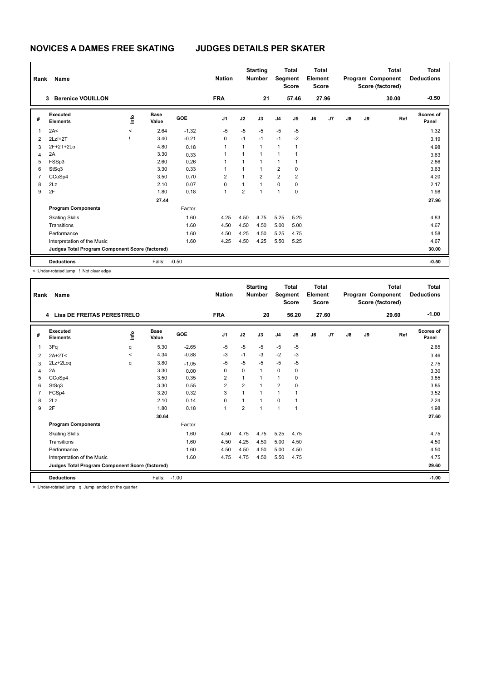| Rank           | Name                                            |         |                      | <b>Nation</b> |                | <b>Starting</b><br><b>Number</b> | Segment        | <b>Total</b><br><b>Score</b> | <b>Total</b><br>Element<br><b>Score</b> |    |       |    | <b>Total</b><br>Program Component<br>Score (factored) | Total<br><b>Deductions</b> |                    |
|----------------|-------------------------------------------------|---------|----------------------|---------------|----------------|----------------------------------|----------------|------------------------------|-----------------------------------------|----|-------|----|-------------------------------------------------------|----------------------------|--------------------|
|                | <b>Berenice VOUILLON</b><br>3                   |         |                      |               | <b>FRA</b>     |                                  | 21             |                              | 57.46                                   |    | 27.96 |    |                                                       | 30.00                      | $-0.50$            |
| #              | Executed<br><b>Elements</b>                     | ١m      | <b>Base</b><br>Value | <b>GOE</b>    | J <sub>1</sub> | J2                               | J3             | J <sub>4</sub>               | J5                                      | J6 | J7    | J8 | J9                                                    | Ref                        | Scores of<br>Panel |
| 1              | 2A<                                             | $\,<\,$ | 2.64                 | $-1.32$       | $-5$           | $-5$                             | $-5$           | $-5$                         | $-5$                                    |    |       |    |                                                       |                            | 1.32               |
| $\overline{2}$ | $2Lz!+2T$                                       |         | 3.40                 | $-0.21$       | 0              | $-1$                             | $-1$           | $-1$                         | $-2$                                    |    |       |    |                                                       |                            | 3.19               |
| 3              | 2F+2T+2Lo                                       |         | 4.80                 | 0.18          | 1              | 1                                | $\mathbf{1}$   | $\mathbf{1}$                 | -1                                      |    |       |    |                                                       |                            | 4.98               |
| 4              | 2A                                              |         | 3.30                 | 0.33          | 1              | 1                                | $\overline{1}$ | $\overline{1}$               |                                         |    |       |    |                                                       |                            | 3.63               |
| 5              | FSSp3                                           |         | 2.60                 | 0.26          | 1              | 1                                | $\mathbf{1}$   | 1                            | -1                                      |    |       |    |                                                       |                            | 2.86               |
| 6              | StSq3                                           |         | 3.30                 | 0.33          | 1              |                                  | $\mathbf{1}$   | $\overline{2}$               | $\mathbf 0$                             |    |       |    |                                                       |                            | 3.63               |
| $\overline{7}$ | CCoSp4                                          |         | 3.50                 | 0.70          | $\overline{2}$ |                                  | $\overline{2}$ | $\overline{2}$               | $\overline{2}$                          |    |       |    |                                                       |                            | 4.20               |
| 8              | 2Lz                                             |         | 2.10                 | 0.07          | 0              | 1                                | $\overline{1}$ | $\mathbf 0$                  | 0                                       |    |       |    |                                                       |                            | 2.17               |
| 9              | 2F                                              |         | 1.80                 | 0.18          | 1              | $\overline{2}$                   | $\overline{1}$ | $\overline{1}$               | 0                                       |    |       |    |                                                       |                            | 1.98               |
|                |                                                 |         | 27.44                |               |                |                                  |                |                              |                                         |    |       |    |                                                       |                            | 27.96              |
|                | <b>Program Components</b>                       |         |                      | Factor        |                |                                  |                |                              |                                         |    |       |    |                                                       |                            |                    |
|                | <b>Skating Skills</b>                           |         |                      | 1.60          | 4.25           | 4.50                             | 4.75           | 5.25                         | 5.25                                    |    |       |    |                                                       |                            | 4.83               |
|                | Transitions                                     |         |                      | 1.60          | 4.50           | 4.50                             | 4.50           | 5.00                         | 5.00                                    |    |       |    |                                                       |                            | 4.67               |
|                | Performance                                     |         |                      | 1.60          | 4.50           | 4.25                             | 4.50           | 5.25                         | 4.75                                    |    |       |    |                                                       |                            | 4.58               |
|                | Interpretation of the Music                     |         |                      | 1.60          | 4.25           | 4.50                             | 4.25           | 5.50                         | 5.25                                    |    |       |    |                                                       |                            | 4.67               |
|                | Judges Total Program Component Score (factored) |         |                      |               |                |                                  |                |                              |                                         |    |       |    |                                                       |                            | 30.00              |
|                | <b>Deductions</b>                               |         | Falls:               | $-0.50$       |                |                                  |                |                              |                                         |    |       |    |                                                       |                            | $-0.50$            |

< Under-rotated jump ! Not clear edge

| Rank | Name                                            |         | <b>Nation</b>        |         | <b>Starting</b><br><b>Number</b> |                | <b>Total</b><br>Segment<br><b>Score</b> | <b>Total</b><br>Element<br><b>Score</b> |                |    |       | <b>Total</b><br>Program Component<br>Score (factored) | <b>Total</b><br><b>Deductions</b> |       |                           |
|------|-------------------------------------------------|---------|----------------------|---------|----------------------------------|----------------|-----------------------------------------|-----------------------------------------|----------------|----|-------|-------------------------------------------------------|-----------------------------------|-------|---------------------------|
|      | <b>Lisa DE FREITAS PERESTRELO</b><br>4          |         |                      |         | <b>FRA</b>                       |                | 20                                      |                                         | 56.20          |    | 27.60 |                                                       |                                   | 29.60 | $-1.00$                   |
| #    | Executed<br><b>Elements</b>                     | ۴ô      | <b>Base</b><br>Value | GOE     | J1                               | J2             | J3                                      | J <sub>4</sub>                          | J <sub>5</sub> | J6 | J7    | $\mathsf{J}8$                                         | J9                                | Ref   | <b>Scores of</b><br>Panel |
| 1    | 3Fq                                             | q       | 5.30                 | $-2.65$ | $-5$                             | $-5$           | $-5$                                    | $-5$                                    | $-5$           |    |       |                                                       |                                   |       | 2.65                      |
| 2    | $2A+2T<$                                        | $\prec$ | 4.34                 | $-0.88$ | -3                               | $-1$           | -3                                      | $-2$                                    | $-3$           |    |       |                                                       |                                   |       | 3.46                      |
| 3    | 2Lz+2Log                                        | q       | 3.80                 | $-1.05$ | $-5$                             | $-5$           | $-5$                                    | $-5$                                    | -5             |    |       |                                                       |                                   |       | 2.75                      |
| 4    | 2A                                              |         | 3.30                 | 0.00    | 0                                | 0              | 1                                       | $\mathbf 0$                             | $\mathbf 0$    |    |       |                                                       |                                   |       | 3.30                      |
| 5    | CCoSp4                                          |         | 3.50                 | 0.35    | 2                                |                |                                         | 1                                       | $\Omega$       |    |       |                                                       |                                   |       | 3.85                      |
| 6    | StSq3                                           |         | 3.30                 | 0.55    | $\overline{2}$                   | $\overline{2}$ |                                         | $\overline{2}$                          | $\Omega$       |    |       |                                                       |                                   |       | 3.85                      |
|      | FCSp4                                           |         | 3.20                 | 0.32    | 3                                | $\overline{1}$ | 1                                       | 1                                       | 1              |    |       |                                                       |                                   |       | 3.52                      |
| 8    | 2Lz                                             |         | 2.10                 | 0.14    | 0                                |                |                                         | $\mathbf 0$                             | 1              |    |       |                                                       |                                   |       | 2.24                      |
| 9    | 2F                                              |         | 1.80                 | 0.18    | 1                                | $\overline{2}$ | и                                       | $\overline{1}$                          | 1              |    |       |                                                       |                                   |       | 1.98                      |
|      |                                                 |         | 30.64                |         |                                  |                |                                         |                                         |                |    |       |                                                       |                                   |       | 27.60                     |
|      | <b>Program Components</b>                       |         |                      | Factor  |                                  |                |                                         |                                         |                |    |       |                                                       |                                   |       |                           |
|      | <b>Skating Skills</b>                           |         |                      | 1.60    | 4.50                             | 4.75           | 4.75                                    | 5.25                                    | 4.75           |    |       |                                                       |                                   |       | 4.75                      |
|      | Transitions                                     |         |                      | 1.60    | 4.50                             | 4.25           | 4.50                                    | 5.00                                    | 4.50           |    |       |                                                       |                                   |       | 4.50                      |
|      | Performance                                     |         |                      | 1.60    | 4.50                             | 4.50           | 4.50                                    | 5.00                                    | 4.50           |    |       |                                                       |                                   |       | 4.50                      |
|      | Interpretation of the Music                     |         |                      | 1.60    | 4.75                             | 4.75           | 4.50                                    | 5.50                                    | 4.75           |    |       |                                                       |                                   |       | 4.75                      |
|      | Judges Total Program Component Score (factored) |         |                      |         |                                  |                |                                         |                                         |                |    |       |                                                       |                                   |       | 29.60                     |
|      | <b>Deductions</b>                               |         | Falls:               | $-1.00$ |                                  |                |                                         |                                         |                |    |       |                                                       |                                   |       | $-1.00$                   |

< Under-rotated jump q Jump landed on the quarter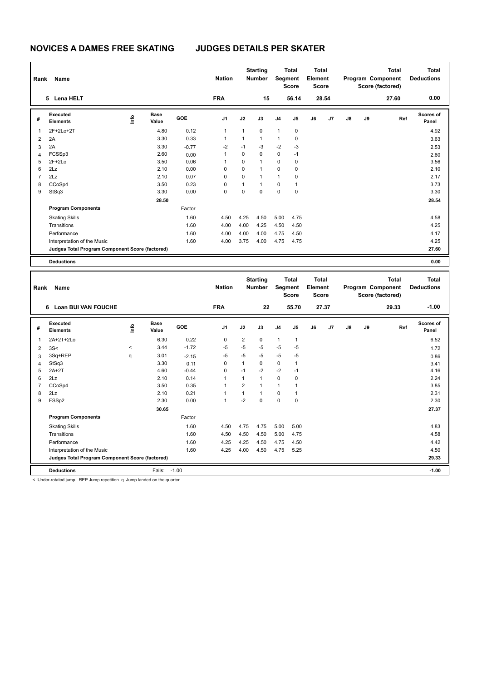| Rank           | <b>Name</b>                                     |      |                      |            | <b>Nation</b>  |              | <b>Starting</b><br><b>Number</b> |                | <b>Total</b><br>Segment<br><b>Score</b> | <b>Total</b><br>Element<br><b>Score</b> |       |               |    | <b>Total</b><br>Program Component<br>Score (factored) | Total<br><b>Deductions</b> |
|----------------|-------------------------------------------------|------|----------------------|------------|----------------|--------------|----------------------------------|----------------|-----------------------------------------|-----------------------------------------|-------|---------------|----|-------------------------------------------------------|----------------------------|
|                | 5 Lena HELT                                     |      |                      |            | <b>FRA</b>     |              | 15                               |                | 56.14                                   |                                         | 28.54 |               |    | 27.60                                                 | 0.00                       |
| #              | Executed<br><b>Elements</b>                     | ١mfo | <b>Base</b><br>Value | <b>GOE</b> | J <sub>1</sub> | J2           | J3                               | J <sub>4</sub> | J5                                      | J6                                      | J7    | $\mathsf{J}8$ | J9 | Ref                                                   | <b>Scores of</b><br>Panel  |
| 1              | 2F+2Lo+2T                                       |      | 4.80                 | 0.12       | $\mathbf{1}$   | $\mathbf{1}$ | $\mathbf 0$                      | $\mathbf{1}$   | $\mathbf 0$                             |                                         |       |               |    |                                                       | 4.92                       |
| 2              | 2A                                              |      | 3.30                 | 0.33       | 1              | $\mathbf{1}$ | $\mathbf{1}$                     | $\mathbf{1}$   | 0                                       |                                         |       |               |    |                                                       | 3.63                       |
| 3              | 2A                                              |      | 3.30                 | $-0.77$    | $-2$           | $-1$         | $-3$                             | $-2$           | $-3$                                    |                                         |       |               |    |                                                       | 2.53                       |
| $\overline{4}$ | FCSSp3                                          |      | 2.60                 | 0.00       | 1              | 0            | $\mathbf 0$                      | 0              | $-1$                                    |                                         |       |               |    |                                                       | 2.60                       |
| 5              | $2F+2Lo$                                        |      | 3.50                 | 0.06       |                | 0            | $\overline{1}$                   | $\mathbf 0$    | 0                                       |                                         |       |               |    |                                                       | 3.56                       |
| 6              | 2Lz                                             |      | 2.10                 | 0.00       | 0              | 0            | $\overline{1}$                   | 0              | 0                                       |                                         |       |               |    |                                                       | 2.10                       |
| $\overline{7}$ | 2Lz                                             |      | 2.10                 | 0.07       | 0              | 0            | $\overline{1}$                   | $\mathbf{1}$   | $\mathbf 0$                             |                                         |       |               |    |                                                       | 2.17                       |
| 8              | CCoSp4                                          |      | 3.50                 | 0.23       | 0              | $\mathbf{1}$ | $\mathbf{1}$                     | 0              | 1                                       |                                         |       |               |    |                                                       | 3.73                       |
| 9              | StSq3                                           |      | 3.30                 | 0.00       | 0              | 0            | $\mathbf 0$                      | $\pmb{0}$      | 0                                       |                                         |       |               |    |                                                       | 3.30                       |
|                |                                                 |      | 28.50                |            |                |              |                                  |                |                                         |                                         |       |               |    |                                                       | 28.54                      |
|                | <b>Program Components</b>                       |      |                      | Factor     |                |              |                                  |                |                                         |                                         |       |               |    |                                                       |                            |
|                | <b>Skating Skills</b>                           |      |                      | 1.60       | 4.50           | 4.25         | 4.50                             | 5.00           | 4.75                                    |                                         |       |               |    |                                                       | 4.58                       |
|                | Transitions                                     |      |                      | 1.60       | 4.00           | 4.00         | 4.25                             | 4.50           | 4.50                                    |                                         |       |               |    |                                                       | 4.25                       |
|                | Performance                                     |      |                      | 1.60       | 4.00           | 4.00         | 4.00                             | 4.75           | 4.50                                    |                                         |       |               |    |                                                       | 4.17                       |
|                | Interpretation of the Music                     |      |                      | 1.60       | 4.00           | 3.75         | 4.00                             | 4.75           | 4.75                                    |                                         |       |               |    |                                                       | 4.25                       |
|                | Judges Total Program Component Score (factored) |      |                      |            |                |              |                                  |                |                                         |                                         |       |               |    |                                                       | 27.60                      |
|                | <b>Deductions</b>                               |      |                      |            |                |              |                                  |                |                                         |                                         |       |               |    |                                                       | 0.00                       |

|                | Rank<br>Name<br><b>Loan BUI VAN FOUCHE</b><br>6 |           |                      |            | <b>Nation</b>  |                | <b>Starting</b><br><b>Number</b> |                | <b>Total</b><br>Segment<br><b>Score</b> | <b>Total</b><br>Element<br><b>Score</b> |       |               |    | <b>Total</b><br>Program Component<br>Score (factored) | <b>Total</b><br><b>Deductions</b> |
|----------------|-------------------------------------------------|-----------|----------------------|------------|----------------|----------------|----------------------------------|----------------|-----------------------------------------|-----------------------------------------|-------|---------------|----|-------------------------------------------------------|-----------------------------------|
|                |                                                 |           |                      |            | <b>FRA</b>     |                | 22                               |                | 55.70                                   |                                         | 27.37 |               |    | 29.33                                                 | $-1.00$                           |
| #              | Executed<br><b>Elements</b>                     | lnfo      | <b>Base</b><br>Value | <b>GOE</b> | J <sub>1</sub> | J2             | J3                               | J <sub>4</sub> | J <sub>5</sub>                          | J6                                      | J7    | $\mathsf{J}8$ | J9 | Ref                                                   | <b>Scores of</b><br>Panel         |
| 1              | 2A+2T+2Lo                                       |           | 6.30                 | 0.22       | $\Omega$       | 2              | $\Omega$                         | $\mathbf{1}$   | 1                                       |                                         |       |               |    |                                                       | 6.52                              |
| $\overline{2}$ | 3S<                                             | $\hat{~}$ | 3.44                 | $-1.72$    | -5             | $-5$           | $-5$                             | $-5$           | $-5$                                    |                                         |       |               |    |                                                       | 1.72                              |
| 3              | 3Sq+REP                                         | q         | 3.01                 | $-2.15$    | $-5$           | $-5$           | $-5$                             | $-5$           | $-5$                                    |                                         |       |               |    |                                                       | 0.86                              |
| 4              | StSq3                                           |           | 3.30                 | 0.11       | $\Omega$       | $\mathbf{1}$   | 0                                | $\mathbf 0$    | 1                                       |                                         |       |               |    |                                                       | 3.41                              |
| 5              | $2A+2T$                                         |           | 4.60                 | $-0.44$    | $\Omega$       | $-1$           | $-2$                             | $-2$           | $-1$                                    |                                         |       |               |    |                                                       | 4.16                              |
| 6              | 2Lz                                             |           | 2.10                 | 0.14       |                | 1              | $\mathbf{1}$                     | 0              | 0                                       |                                         |       |               |    |                                                       | 2.24                              |
| $\overline{7}$ | CCoSp4                                          |           | 3.50                 | 0.35       | 1              | $\overline{2}$ | $\overline{1}$                   | $\mathbf{1}$   | 1                                       |                                         |       |               |    |                                                       | 3.85                              |
| 8              | 2Lz                                             |           | 2.10                 | 0.21       |                | $\mathbf{1}$   | $\mathbf 1$                      | $\mathbf 0$    | 1                                       |                                         |       |               |    |                                                       | 2.31                              |
| 9              | FSSp2                                           |           | 2.30                 | 0.00       | 1              | $-2$           | $\Omega$                         | $\mathbf 0$    | 0                                       |                                         |       |               |    |                                                       | 2.30                              |
|                |                                                 |           | 30.65                |            |                |                |                                  |                |                                         |                                         |       |               |    |                                                       | 27.37                             |
|                | <b>Program Components</b>                       |           |                      | Factor     |                |                |                                  |                |                                         |                                         |       |               |    |                                                       |                                   |
|                | <b>Skating Skills</b>                           |           |                      | 1.60       | 4.50           | 4.75           | 4.75                             | 5.00           | 5.00                                    |                                         |       |               |    |                                                       | 4.83                              |
|                | Transitions                                     |           |                      | 1.60       | 4.50           | 4.50           | 4.50                             | 5.00           | 4.75                                    |                                         |       |               |    |                                                       | 4.58                              |
|                | Performance                                     |           |                      | 1.60       | 4.25           | 4.25           | 4.50                             | 4.75           | 4.50                                    |                                         |       |               |    |                                                       | 4.42                              |
|                | Interpretation of the Music                     |           |                      | 1.60       | 4.25           | 4.00           | 4.50                             | 4.75           | 5.25                                    |                                         |       |               |    |                                                       | 4.50                              |
|                | Judges Total Program Component Score (factored) |           |                      |            |                |                |                                  |                |                                         |                                         |       |               |    |                                                       | 29.33                             |
|                | <b>Deductions</b>                               |           | Falls:               | $-1.00$    |                |                |                                  |                |                                         |                                         |       |               |    |                                                       | $-1.00$                           |

< Under-rotated jump REP Jump repetition q Jump landed on the quarter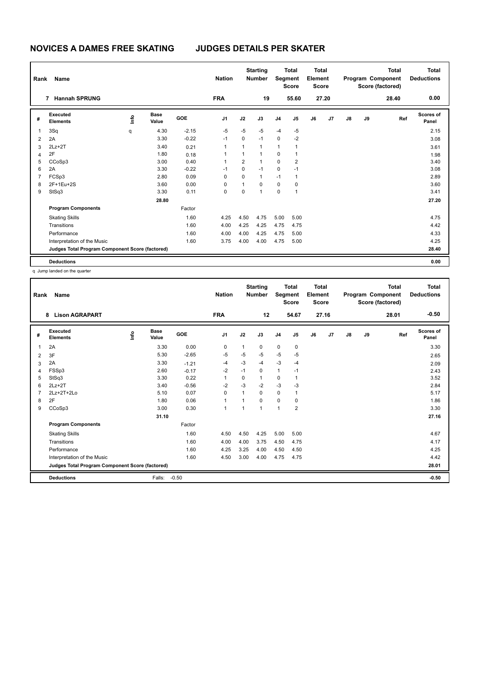| Rank           | Name                                            |    | <b>Nation</b>        |            | <b>Starting</b><br><b>Number</b> | Segment        | <b>Total</b><br><b>Score</b> | Total<br>Element<br><b>Score</b> |                |    |       | <b>Total</b><br>Program Component<br>Score (factored) | <b>Total</b><br><b>Deductions</b> |       |                    |
|----------------|-------------------------------------------------|----|----------------------|------------|----------------------------------|----------------|------------------------------|----------------------------------|----------------|----|-------|-------------------------------------------------------|-----------------------------------|-------|--------------------|
|                | <b>Hannah SPRUNG</b><br>$\overline{7}$          |    |                      |            | <b>FRA</b>                       |                | 19                           |                                  | 55.60          |    | 27.20 |                                                       |                                   | 28.40 | 0.00               |
| #              | Executed<br><b>Elements</b>                     | ١m | <b>Base</b><br>Value | <b>GOE</b> | J <sub>1</sub>                   | J2             | J3                           | J <sub>4</sub>                   | J5             | J6 | J7    | $\mathsf{J}8$                                         | J9                                | Ref   | Scores of<br>Panel |
| 1              | 3Sq                                             | q  | 4.30                 | $-2.15$    | $-5$                             | $-5$           | $-5$                         | $-4$                             | $-5$           |    |       |                                                       |                                   |       | 2.15               |
| $\overline{2}$ | 2A                                              |    | 3.30                 | $-0.22$    | $-1$                             | 0              | $-1$                         | 0                                | $-2$           |    |       |                                                       |                                   |       | 3.08               |
| 3              | $2Lz+2T$                                        |    | 3.40                 | 0.21       | 1                                | 1              | $\mathbf{1}$                 | 1                                | 1              |    |       |                                                       |                                   |       | 3.61               |
| $\overline{4}$ | 2F                                              |    | 1.80                 | 0.18       | 1                                | 1              | $\overline{1}$               | 0                                | $\overline{1}$ |    |       |                                                       |                                   |       | 1.98               |
| 5              | CCoSp3                                          |    | 3.00                 | 0.40       | 1                                | $\overline{2}$ | $\mathbf{1}$                 | 0                                | 2              |    |       |                                                       |                                   |       | 3.40               |
| 6              | 2A                                              |    | 3.30                 | $-0.22$    | $-1$                             | 0              | $-1$                         | $\mathbf 0$                      | $-1$           |    |       |                                                       |                                   |       | 3.08               |
| $\overline{7}$ | FCSp3                                           |    | 2.80                 | 0.09       | 0                                | $\Omega$       | $\mathbf{1}$                 | $-1$                             | $\mathbf{1}$   |    |       |                                                       |                                   |       | 2.89               |
| 8              | 2F+1Eu+2S                                       |    | 3.60                 | 0.00       | 0                                | 1              | $\mathbf 0$                  | 0                                | 0              |    |       |                                                       |                                   |       | 3.60               |
| 9              | StSq3                                           |    | 3.30                 | 0.11       | 0                                | 0              | $\overline{1}$               | 0                                | $\overline{1}$ |    |       |                                                       |                                   |       | 3.41               |
|                |                                                 |    | 28.80                |            |                                  |                |                              |                                  |                |    |       |                                                       |                                   |       | 27.20              |
|                | <b>Program Components</b>                       |    |                      | Factor     |                                  |                |                              |                                  |                |    |       |                                                       |                                   |       |                    |
|                | <b>Skating Skills</b>                           |    |                      | 1.60       | 4.25                             | 4.50           | 4.75                         | 5.00                             | 5.00           |    |       |                                                       |                                   |       | 4.75               |
|                | Transitions                                     |    |                      | 1.60       | 4.00                             | 4.25           | 4.25                         | 4.75                             | 4.75           |    |       |                                                       |                                   |       | 4.42               |
|                | Performance                                     |    |                      | 1.60       | 4.00                             | 4.00           | 4.25                         | 4.75                             | 5.00           |    |       |                                                       |                                   |       | 4.33               |
|                | Interpretation of the Music                     |    |                      | 1.60       | 3.75                             | 4.00           | 4.00                         | 4.75                             | 5.00           |    |       |                                                       |                                   |       | 4.25               |
|                | Judges Total Program Component Score (factored) |    |                      |            |                                  |                |                              |                                  |                |    |       |                                                       |                                   |       | 28.40              |
|                | <b>Deductions</b>                               |    |                      |            |                                  |                |                              |                                  |                |    |       |                                                       |                                   |       | 0.00               |

q Jump landed on the quarter

| Rank | Name                                            |    |                      |         | <b>Nation</b>  |                | <b>Starting</b><br><b>Number</b> | Segment        | <b>Total</b><br><b>Score</b> | <b>Total</b><br>Element<br><b>Score</b> |       |               |    | <b>Total</b><br>Program Component<br>Score (factored) | <b>Total</b><br><b>Deductions</b> |
|------|-------------------------------------------------|----|----------------------|---------|----------------|----------------|----------------------------------|----------------|------------------------------|-----------------------------------------|-------|---------------|----|-------------------------------------------------------|-----------------------------------|
|      | <b>Lison AGRAPART</b><br>8                      |    |                      |         | <b>FRA</b>     |                | 12                               |                | 54.67                        |                                         | 27.16 |               |    | 28.01                                                 | $-0.50$                           |
| #    | Executed<br><b>Elements</b>                     | ۴٥ | <b>Base</b><br>Value | GOE     | J <sub>1</sub> | J2             | J3                               | J <sub>4</sub> | J5                           | J6                                      | J7    | $\mathsf{J}8$ | J9 | Ref                                                   | <b>Scores of</b><br>Panel         |
| 1    | 2A                                              |    | 3.30                 | 0.00    | 0              | $\mathbf{1}$   | 0                                | $\mathbf 0$    | 0                            |                                         |       |               |    |                                                       | 3.30                              |
| 2    | 3F                                              |    | 5.30                 | $-2.65$ | $-5$           | $-5$           | $-5$                             | $-5$           | $-5$                         |                                         |       |               |    |                                                       | 2.65                              |
| 3    | 2A                                              |    | 3.30                 | $-1.21$ | $-4$           | $-3$           | $-4$                             | $-3$           | $-4$                         |                                         |       |               |    |                                                       | 2.09                              |
| 4    | FSSp3                                           |    | 2.60                 | $-0.17$ | $-2$           | $-1$           | 0                                | $\mathbf{1}$   | $-1$                         |                                         |       |               |    |                                                       | 2.43                              |
| 5    | StSq3                                           |    | 3.30                 | 0.22    | 1              | 0              | 1                                | $\mathbf 0$    | $\mathbf{1}$                 |                                         |       |               |    |                                                       | 3.52                              |
| 6    | $2Lz+2T$                                        |    | 3.40                 | $-0.56$ | $-2$           | $-3$           | $-2$                             | $-3$           | $-3$                         |                                         |       |               |    |                                                       | 2.84                              |
| 7    | 2Lz+2T+2Lo                                      |    | 5.10                 | 0.07    | 0              | 1              | 0                                | 0              | 1                            |                                         |       |               |    |                                                       | 5.17                              |
| 8    | 2F                                              |    | 1.80                 | 0.06    | 1              | $\overline{1}$ | 0                                | $\mathbf 0$    | 0                            |                                         |       |               |    |                                                       | 1.86                              |
| 9    | CCoSp3                                          |    | 3.00                 | 0.30    | $\overline{1}$ | $\overline{1}$ | 1                                | 1              | $\overline{2}$               |                                         |       |               |    |                                                       | 3.30                              |
|      |                                                 |    | 31.10                |         |                |                |                                  |                |                              |                                         |       |               |    |                                                       | 27.16                             |
|      | <b>Program Components</b>                       |    |                      | Factor  |                |                |                                  |                |                              |                                         |       |               |    |                                                       |                                   |
|      | <b>Skating Skills</b>                           |    |                      | 1.60    | 4.50           | 4.50           | 4.25                             | 5.00           | 5.00                         |                                         |       |               |    |                                                       | 4.67                              |
|      | Transitions                                     |    |                      | 1.60    | 4.00           | 4.00           | 3.75                             | 4.50           | 4.75                         |                                         |       |               |    |                                                       | 4.17                              |
|      | Performance                                     |    |                      | 1.60    | 4.25           | 3.25           | 4.00                             | 4.50           | 4.50                         |                                         |       |               |    |                                                       | 4.25                              |
|      | Interpretation of the Music                     |    |                      | 1.60    | 4.50           | 3.00           | 4.00                             | 4.75           | 4.75                         |                                         |       |               |    |                                                       | 4.42                              |
|      | Judges Total Program Component Score (factored) |    |                      |         |                |                |                                  |                |                              |                                         |       |               |    |                                                       | 28.01                             |
|      | <b>Deductions</b>                               |    | Falls:               | $-0.50$ |                |                |                                  |                |                              |                                         |       |               |    |                                                       | $-0.50$                           |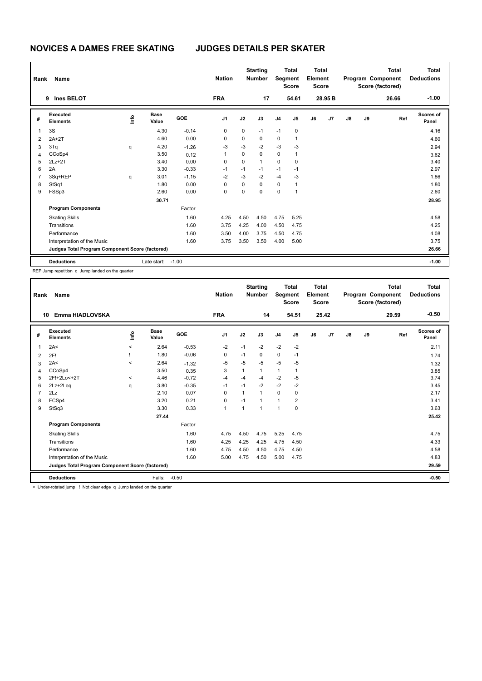| Rank           | Name                                            |      |                      |            | <b>Nation</b>  |             | <b>Starting</b><br><b>Number</b> | Segment        | <b>Total</b><br><b>Score</b> | <b>Total</b><br>Element<br><b>Score</b> |         |    |    | <b>Total</b><br>Program Component<br>Score (factored) | <b>Total</b><br><b>Deductions</b> |
|----------------|-------------------------------------------------|------|----------------------|------------|----------------|-------------|----------------------------------|----------------|------------------------------|-----------------------------------------|---------|----|----|-------------------------------------------------------|-----------------------------------|
|                | <b>Ines BELOT</b><br>9                          |      |                      |            | <b>FRA</b>     |             | 17                               |                | 54.61                        |                                         | 28.95 B |    |    | 26.66                                                 | $-1.00$                           |
| #              | Executed<br><b>Elements</b>                     | lnfo | <b>Base</b><br>Value | <b>GOE</b> | J <sub>1</sub> | J2          | J3                               | J <sub>4</sub> | J <sub>5</sub>               | J6                                      | J7      | J8 | J9 | Ref                                                   | Scores of<br>Panel                |
| 1              | 3S                                              |      | 4.30                 | $-0.14$    | 0              | $\mathbf 0$ | $-1$                             | $-1$           | $\pmb{0}$                    |                                         |         |    |    |                                                       | 4.16                              |
| 2              | $2A+2T$                                         |      | 4.60                 | 0.00       | 0              | 0           | 0                                | $\mathbf 0$    | $\mathbf{1}$                 |                                         |         |    |    |                                                       | 4.60                              |
| 3              | 3Tq                                             | q    | 4.20                 | $-1.26$    | $-3$           | $-3$        | $-2$                             | $-3$           | $-3$                         |                                         |         |    |    |                                                       | 2.94                              |
| 4              | CCoSp4                                          |      | 3.50                 | 0.12       |                | 0           | $\mathbf 0$                      | $\mathbf 0$    | 1                            |                                         |         |    |    |                                                       | 3.62                              |
| 5              | $2Lz + 2T$                                      |      | 3.40                 | 0.00       | 0              | $\mathbf 0$ | $\mathbf{1}$                     | $\mathbf 0$    | 0                            |                                         |         |    |    |                                                       | 3.40                              |
| 6              | 2A                                              |      | 3.30                 | $-0.33$    | $-1$           | $-1$        | $-1$                             | $-1$           | $-1$                         |                                         |         |    |    |                                                       | 2.97                              |
| $\overline{7}$ | 3Sq+REP                                         | q    | 3.01                 | $-1.15$    | $-2$           | $-3$        | $-2$                             | $-4$           | $-3$                         |                                         |         |    |    |                                                       | 1.86                              |
| 8              | StSq1                                           |      | 1.80                 | 0.00       | 0              | 0           | $\mathbf 0$                      | $\mathbf 0$    | $\mathbf{1}$                 |                                         |         |    |    |                                                       | 1.80                              |
| 9              | FSSp3                                           |      | 2.60                 | 0.00       | 0              | $\mathbf 0$ | $\mathbf 0$                      | $\mathbf 0$    | 1                            |                                         |         |    |    |                                                       | 2.60                              |
|                |                                                 |      | 30.71                |            |                |             |                                  |                |                              |                                         |         |    |    |                                                       | 28.95                             |
|                | <b>Program Components</b>                       |      |                      | Factor     |                |             |                                  |                |                              |                                         |         |    |    |                                                       |                                   |
|                | <b>Skating Skills</b>                           |      |                      | 1.60       | 4.25           | 4.50        | 4.50                             | 4.75           | 5.25                         |                                         |         |    |    |                                                       | 4.58                              |
|                | Transitions                                     |      |                      | 1.60       | 3.75           | 4.25        | 4.00                             | 4.50           | 4.75                         |                                         |         |    |    |                                                       | 4.25                              |
|                | Performance                                     |      |                      | 1.60       | 3.50           | 4.00        | 3.75                             | 4.50           | 4.75                         |                                         |         |    |    |                                                       | 4.08                              |
|                | Interpretation of the Music                     |      |                      | 1.60       | 3.75           | 3.50        | 3.50                             | 4.00           | 5.00                         |                                         |         |    |    |                                                       | 3.75                              |
|                | Judges Total Program Component Score (factored) |      |                      |            |                |             |                                  |                |                              |                                         |         |    |    |                                                       | 26.66                             |
|                | <b>Deductions</b>                               |      | Late start:          | $-1.00$    |                |             |                                  |                |                              |                                         |         |    |    |                                                       | $-1.00$                           |

REP Jump repetition q Jump landed on the quarter

| Rank | Name                                            |             |                      |         | <b>Nation</b>  |      | <b>Starting</b><br><b>Number</b> | Segment        | <b>Total</b><br><b>Score</b> | <b>Total</b><br>Element<br><b>Score</b> |       |               |    | <b>Total</b><br>Program Component<br>Score (factored) | Total<br><b>Deductions</b> |
|------|-------------------------------------------------|-------------|----------------------|---------|----------------|------|----------------------------------|----------------|------------------------------|-----------------------------------------|-------|---------------|----|-------------------------------------------------------|----------------------------|
| 10   | Emma HIADLOVSKA                                 |             |                      |         | <b>FRA</b>     |      | 14                               |                | 54.51                        |                                         | 25.42 |               |    | 29.59                                                 | $-0.50$                    |
| #    | Executed<br><b>Elements</b>                     | <u>info</u> | <b>Base</b><br>Value | GOE     | J <sub>1</sub> | J2   | J3                               | J <sub>4</sub> | J5                           | J6                                      | J7    | $\mathsf{J}8$ | J9 | Ref                                                   | <b>Scores of</b><br>Panel  |
| 1    | 2A<                                             | $\prec$     | 2.64                 | $-0.53$ | $-2$           | $-1$ | $-2$                             | $-2$           | $-2$                         |                                         |       |               |    |                                                       | 2.11                       |
| 2    | 2F!                                             |             | 1.80                 | $-0.06$ | 0              | $-1$ | $\mathbf 0$                      | 0              | $-1$                         |                                         |       |               |    |                                                       | 1.74                       |
| 3    | 2A<                                             | $\prec$     | 2.64                 | $-1.32$ | $-5$           | $-5$ | $-5$                             | -5             | $-5$                         |                                         |       |               |    |                                                       | 1.32                       |
| 4    | CCoSp4                                          |             | 3.50                 | 0.35    | 3              | 1    | $\mathbf{1}$                     | $\mathbf{1}$   | 1                            |                                         |       |               |    |                                                       | 3.85                       |
| 5    | 2F!+2Lo<+2T                                     | $\prec$     | 4.46                 | $-0.72$ | $-4$           | $-4$ | $-4$                             | $-2$           | $-5$                         |                                         |       |               |    |                                                       | 3.74                       |
| 6    | 2Lz+2Loq                                        | q           | 3.80                 | $-0.35$ | $-1$           | $-1$ | $-2$                             | $-2$           | $-2$                         |                                         |       |               |    |                                                       | 3.45                       |
| 7    | 2Lz                                             |             | 2.10                 | 0.07    | $\Omega$       | 1    | $\overline{1}$                   | $\Omega$       | 0                            |                                         |       |               |    |                                                       | 2.17                       |
| 8    | FCSp4                                           |             | 3.20                 | 0.21    | 0              | $-1$ |                                  | $\mathbf{1}$   | $\overline{2}$               |                                         |       |               |    |                                                       | 3.41                       |
| 9    | StSq3                                           |             | 3.30                 | 0.33    | $\mathbf{1}$   | 1    | 1                                | $\mathbf{1}$   | $\Omega$                     |                                         |       |               |    |                                                       | 3.63                       |
|      |                                                 |             | 27.44                |         |                |      |                                  |                |                              |                                         |       |               |    |                                                       | 25.42                      |
|      | <b>Program Components</b>                       |             |                      | Factor  |                |      |                                  |                |                              |                                         |       |               |    |                                                       |                            |
|      | <b>Skating Skills</b>                           |             |                      | 1.60    | 4.75           | 4.50 | 4.75                             | 5.25           | 4.75                         |                                         |       |               |    |                                                       | 4.75                       |
|      | Transitions                                     |             |                      | 1.60    | 4.25           | 4.25 | 4.25                             | 4.75           | 4.50                         |                                         |       |               |    |                                                       | 4.33                       |
|      | Performance                                     |             |                      | 1.60    | 4.75           | 4.50 | 4.50                             | 4.75           | 4.50                         |                                         |       |               |    |                                                       | 4.58                       |
|      | Interpretation of the Music                     |             |                      | 1.60    | 5.00           | 4.75 | 4.50                             | 5.00           | 4.75                         |                                         |       |               |    |                                                       | 4.83                       |
|      | Judges Total Program Component Score (factored) |             |                      |         |                |      |                                  |                |                              |                                         |       |               |    |                                                       | 29.59                      |
|      | <b>Deductions</b>                               | .           | Falls:               | $-0.50$ |                |      |                                  |                |                              |                                         |       |               |    |                                                       | $-0.50$                    |

< Under-rotated jump ! Not clear edge q Jump landed on the quarter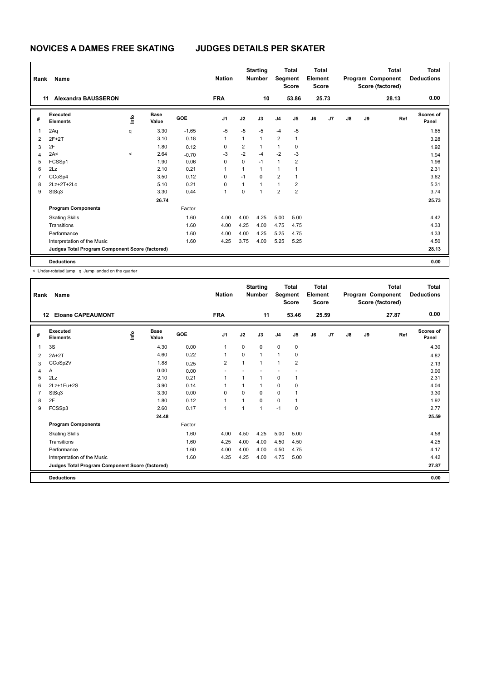| Rank           | Name                                            |       |                      |            | <b>Nation</b>  |              | <b>Starting</b><br><b>Number</b> | Segment        | <b>Total</b><br><b>Score</b> | Total<br>Element<br><b>Score</b> |       |    |    | Total<br>Program Component<br>Score (factored) | <b>Total</b><br><b>Deductions</b> |
|----------------|-------------------------------------------------|-------|----------------------|------------|----------------|--------------|----------------------------------|----------------|------------------------------|----------------------------------|-------|----|----|------------------------------------------------|-----------------------------------|
|                | <b>Alexandra BAUSSERON</b><br>11                |       |                      |            | <b>FRA</b>     |              | 10                               |                | 53.86                        |                                  | 25.73 |    |    | 28.13                                          | 0.00                              |
| #              | Executed<br><b>Elements</b>                     | lnfo  | <b>Base</b><br>Value | <b>GOE</b> | J <sub>1</sub> | J2           | J3                               | J <sub>4</sub> | J <sub>5</sub>               | J6                               | J7    | J8 | J9 | Ref                                            | Scores of<br>Panel                |
| 1              | 2Aq                                             | q     | 3.30                 | $-1.65$    | $-5$           | $-5$         | $-5$                             | $-4$           | $-5$                         |                                  |       |    |    |                                                | 1.65                              |
| $\overline{2}$ | $2F+2T$                                         |       | 3.10                 | 0.18       | $\mathbf{1}$   | $\mathbf{1}$ | $\mathbf{1}$                     | $\overline{2}$ | $\mathbf{1}$                 |                                  |       |    |    |                                                | 3.28                              |
| 3              | 2F                                              |       | 1.80                 | 0.12       | 0              | 2            | $\mathbf{1}$                     | $\mathbf{1}$   | 0                            |                                  |       |    |    |                                                | 1.92                              |
| $\overline{4}$ | 2A<                                             | $\,<$ | 2.64                 | $-0.70$    | -3             | $-2$         | $-4$                             | $-2$           | $-3$                         |                                  |       |    |    |                                                | 1.94                              |
| 5              | FCSSp1                                          |       | 1.90                 | 0.06       | 0              | 0            | $-1$                             | $\mathbf{1}$   | 2                            |                                  |       |    |    |                                                | 1.96                              |
| 6              | 2Lz                                             |       | 2.10                 | 0.21       | 1              | 1            | $\mathbf{1}$                     | 1              |                              |                                  |       |    |    |                                                | 2.31                              |
| $\overline{7}$ | CCoSp4                                          |       | 3.50                 | 0.12       | 0              | $-1$         | $\mathbf 0$                      | $\overline{2}$ | 1                            |                                  |       |    |    |                                                | 3.62                              |
| 8              | 2Lz+2T+2Lo                                      |       | 5.10                 | 0.21       | $\mathbf 0$    | 1            | $\mathbf{1}$                     | $\mathbf{1}$   | $\overline{2}$               |                                  |       |    |    |                                                | 5.31                              |
| 9              | StSq3                                           |       | 3.30                 | 0.44       | 1              | 0            | $\overline{1}$                   | $\overline{2}$ | $\overline{2}$               |                                  |       |    |    |                                                | 3.74                              |
|                |                                                 |       | 26.74                |            |                |              |                                  |                |                              |                                  |       |    |    |                                                | 25.73                             |
|                | <b>Program Components</b>                       |       |                      | Factor     |                |              |                                  |                |                              |                                  |       |    |    |                                                |                                   |
|                | <b>Skating Skills</b>                           |       |                      | 1.60       | 4.00           | 4.00         | 4.25                             | 5.00           | 5.00                         |                                  |       |    |    |                                                | 4.42                              |
|                | Transitions                                     |       |                      | 1.60       | 4.00           | 4.25         | 4.00                             | 4.75           | 4.75                         |                                  |       |    |    |                                                | 4.33                              |
|                | Performance                                     |       |                      | 1.60       | 4.00           | 4.00         | 4.25                             | 5.25           | 4.75                         |                                  |       |    |    |                                                | 4.33                              |
|                | Interpretation of the Music                     |       |                      | 1.60       | 4.25           | 3.75         | 4.00                             | 5.25           | 5.25                         |                                  |       |    |    |                                                | 4.50                              |
|                | Judges Total Program Component Score (factored) |       |                      |            |                |              |                                  |                |                              |                                  |       |    |    |                                                | 28.13                             |
|                | <b>Deductions</b>                               |       |                      |            |                |              |                                  |                |                              |                                  |       |    |    |                                                | 0.00                              |

< Under-rotated jump q Jump landed on the quarter

| Rank | Name                                            |    |                      |        | <b>Nation</b>  |                          | <b>Starting</b><br><b>Number</b> | Segment        | <b>Total</b><br><b>Score</b> | <b>Total</b><br>Element<br><b>Score</b> |       |               |    | <b>Total</b><br>Program Component<br>Score (factored) | <b>Total</b><br><b>Deductions</b> |
|------|-------------------------------------------------|----|----------------------|--------|----------------|--------------------------|----------------------------------|----------------|------------------------------|-----------------------------------------|-------|---------------|----|-------------------------------------------------------|-----------------------------------|
|      | <b>Eloane CAPEAUMONT</b><br>12                  |    |                      |        | <b>FRA</b>     |                          | 11                               |                | 53.46                        |                                         | 25.59 |               |    | 27.87                                                 | 0.00                              |
| #    | <b>Executed</b><br><b>Elements</b>              | ۴٥ | <b>Base</b><br>Value | GOE    | J1             | J2                       | J3                               | J <sub>4</sub> | J <sub>5</sub>               | J6                                      | J7    | $\mathsf{J}8$ | J9 | Ref                                                   | <b>Scores of</b><br>Panel         |
| 1    | 3S                                              |    | 4.30                 | 0.00   | 1              | 0                        | 0                                | 0              | 0                            |                                         |       |               |    |                                                       | 4.30                              |
| 2    | $2A+2T$                                         |    | 4.60                 | 0.22   | 1              | $\mathbf 0$              | $\mathbf{1}$                     | $\mathbf{1}$   | $\mathbf 0$                  |                                         |       |               |    |                                                       | 4.82                              |
| 3    | CCoSp2V                                         |    | 1.88                 | 0.25   | $\overline{2}$ | 1                        | 1                                | 1              | $\overline{2}$               |                                         |       |               |    |                                                       | 2.13                              |
| 4    | Α                                               |    | 0.00                 | 0.00   |                |                          |                                  |                |                              |                                         |       |               |    |                                                       | 0.00                              |
| 5    | 2Lz                                             |    | 2.10                 | 0.21   | 1              | $\overline{1}$           | 1                                | $\mathbf 0$    | 1                            |                                         |       |               |    |                                                       | 2.31                              |
| 6    | 2Lz+1Eu+2S                                      |    | 3.90                 | 0.14   | 1              |                          | 1                                | $\mathbf 0$    | 0                            |                                         |       |               |    |                                                       | 4.04                              |
| 7    | StSq3                                           |    | 3.30                 | 0.00   | 0              | $\Omega$                 | 0                                | $\mathbf 0$    | 1                            |                                         |       |               |    |                                                       | 3.30                              |
| 8    | 2F                                              |    | 1.80                 | 0.12   | 1              | 1                        | 0                                | 0              | 1                            |                                         |       |               |    |                                                       | 1.92                              |
| 9    | FCSSp3                                          |    | 2.60                 | 0.17   | $\mathbf{1}$   | $\overline{\phantom{a}}$ | 1                                | $-1$           | 0                            |                                         |       |               |    |                                                       | 2.77                              |
|      |                                                 |    | 24.48                |        |                |                          |                                  |                |                              |                                         |       |               |    |                                                       | 25.59                             |
|      | <b>Program Components</b>                       |    |                      | Factor |                |                          |                                  |                |                              |                                         |       |               |    |                                                       |                                   |
|      | <b>Skating Skills</b>                           |    |                      | 1.60   | 4.00           | 4.50                     | 4.25                             | 5.00           | 5.00                         |                                         |       |               |    |                                                       | 4.58                              |
|      | Transitions                                     |    |                      | 1.60   | 4.25           | 4.00                     | 4.00                             | 4.50           | 4.50                         |                                         |       |               |    |                                                       | 4.25                              |
|      | Performance                                     |    |                      | 1.60   | 4.00           | 4.00                     | 4.00                             | 4.50           | 4.75                         |                                         |       |               |    |                                                       | 4.17                              |
|      | Interpretation of the Music                     |    |                      | 1.60   | 4.25           | 4.25                     | 4.00                             | 4.75           | 5.00                         |                                         |       |               |    |                                                       | 4.42                              |
|      | Judges Total Program Component Score (factored) |    |                      |        |                |                          |                                  |                |                              |                                         |       |               |    |                                                       | 27.87                             |
|      | <b>Deductions</b>                               |    |                      |        |                |                          |                                  |                |                              |                                         |       |               |    |                                                       | 0.00                              |
|      |                                                 |    |                      |        |                |                          |                                  |                |                              |                                         |       |               |    |                                                       |                                   |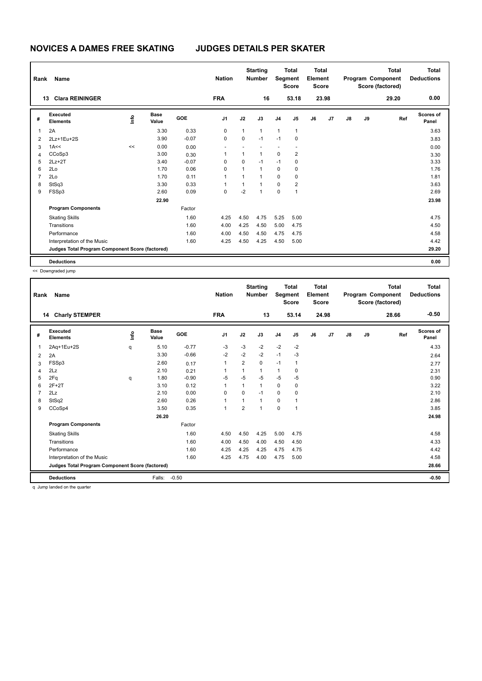| Rank           | Name                                            |      |                      |            | <b>Nation</b>  |              | <b>Starting</b><br><b>Number</b> |                | <b>Total</b><br>Segment<br><b>Score</b> | Total<br>Element<br><b>Score</b> |       |               |    | <b>Total</b><br>Program Component<br>Score (factored) | Total<br><b>Deductions</b> |
|----------------|-------------------------------------------------|------|----------------------|------------|----------------|--------------|----------------------------------|----------------|-----------------------------------------|----------------------------------|-------|---------------|----|-------------------------------------------------------|----------------------------|
|                | <b>Clara REININGER</b><br>13                    |      |                      |            | <b>FRA</b>     |              | 16                               |                | 53.18                                   |                                  | 23.98 |               |    | 29.20                                                 | 0.00                       |
| #              | Executed<br><b>Elements</b>                     | ١mfo | <b>Base</b><br>Value | <b>GOE</b> | J <sub>1</sub> | J2           | J3                               | J <sub>4</sub> | J5                                      | J6                               | J7    | $\mathsf{J}8$ | J9 | Ref                                                   | <b>Scores of</b><br>Panel  |
| 1              | 2A                                              |      | 3.30                 | 0.33       | 0              | 1            | $\mathbf{1}$                     | $\mathbf{1}$   | 1                                       |                                  |       |               |    |                                                       | 3.63                       |
| $\overline{2}$ | 2Lz+1Eu+2S                                      |      | 3.90                 | $-0.07$    | 0              | $\mathbf 0$  | $-1$                             | $-1$           | 0                                       |                                  |       |               |    |                                                       | 3.83                       |
| 3              | 1A<<                                            | <<   | 0.00                 | 0.00       |                |              |                                  |                | $\overline{\phantom{a}}$                |                                  |       |               |    |                                                       | 0.00                       |
| $\overline{4}$ | CCoSp3                                          |      | 3.00                 | 0.30       | 1              | 1            | $\mathbf{1}$                     | $\pmb{0}$      | 2                                       |                                  |       |               |    |                                                       | 3.30                       |
| 5              | $2Lz+2T$                                        |      | 3.40                 | $-0.07$    | 0              | 0            | $-1$                             | $-1$           | 0                                       |                                  |       |               |    |                                                       | 3.33                       |
| 6              | 2Lo                                             |      | 1.70                 | 0.06       | 0              | $\mathbf{1}$ | $\mathbf{1}$                     | $\mathbf 0$    | $\mathbf 0$                             |                                  |       |               |    |                                                       | 1.76                       |
| $\overline{7}$ | 2Lo                                             |      | 1.70                 | 0.11       | $\overline{1}$ | 1            | 1                                | $\mathbf 0$    | 0                                       |                                  |       |               |    |                                                       | 1.81                       |
| 8              | StSq3                                           |      | 3.30                 | 0.33       |                | 1            |                                  | $\mathbf 0$    | 2                                       |                                  |       |               |    |                                                       | 3.63                       |
| 9              | FSSp3                                           |      | 2.60                 | 0.09       | 0              | $-2$         | $\overline{1}$                   | 0              | 1                                       |                                  |       |               |    |                                                       | 2.69                       |
|                |                                                 |      | 22.90                |            |                |              |                                  |                |                                         |                                  |       |               |    |                                                       | 23.98                      |
|                | <b>Program Components</b>                       |      |                      | Factor     |                |              |                                  |                |                                         |                                  |       |               |    |                                                       |                            |
|                | <b>Skating Skills</b>                           |      |                      | 1.60       | 4.25           | 4.50         | 4.75                             | 5.25           | 5.00                                    |                                  |       |               |    |                                                       | 4.75                       |
|                | Transitions                                     |      |                      | 1.60       | 4.00           | 4.25         | 4.50                             | 5.00           | 4.75                                    |                                  |       |               |    |                                                       | 4.50                       |
|                | Performance                                     |      |                      | 1.60       | 4.00           | 4.50         | 4.50                             | 4.75           | 4.75                                    |                                  |       |               |    |                                                       | 4.58                       |
|                | Interpretation of the Music                     |      |                      | 1.60       | 4.25           | 4.50         | 4.25                             | 4.50           | 5.00                                    |                                  |       |               |    |                                                       | 4.42                       |
|                | Judges Total Program Component Score (factored) |      |                      |            |                |              |                                  |                |                                         |                                  |       |               |    |                                                       | 29.20                      |
|                | <b>Deductions</b>                               |      |                      |            |                |              |                                  |                |                                         |                                  |       |               |    |                                                       | 0.00                       |

<< Downgraded jump

| Rank | Name                                                                            |      |                      |         | <b>Nation</b>  |                | <b>Starting</b><br><b>Number</b> | Segment        | <b>Total</b><br><b>Score</b> | <b>Total</b><br>Element<br><b>Score</b> |       |               |    | <b>Total</b><br>Program Component<br>Score (factored) | <b>Total</b><br><b>Deductions</b> |
|------|---------------------------------------------------------------------------------|------|----------------------|---------|----------------|----------------|----------------------------------|----------------|------------------------------|-----------------------------------------|-------|---------------|----|-------------------------------------------------------|-----------------------------------|
|      | <b>Charly STEMPER</b><br>14                                                     |      |                      |         | <b>FRA</b>     |                | 13                               |                | 53.14                        |                                         | 24.98 |               |    | 28.66                                                 | $-0.50$                           |
| #    | <b>Executed</b><br><b>Elements</b>                                              | lnfo | <b>Base</b><br>Value | GOE     | J <sub>1</sub> | J2             | J3                               | J <sub>4</sub> | J5                           | J6                                      | J7    | $\mathsf{J}8$ | J9 | Ref                                                   | <b>Scores of</b><br>Panel         |
| 1    | 2Aq+1Eu+2S                                                                      | q    | 5.10                 | $-0.77$ | $-3$           | $-3$           | $-2$                             | $-2$           | $-2$                         |                                         |       |               |    |                                                       | 4.33                              |
| 2    | 2A                                                                              |      | 3.30                 | $-0.66$ | $-2$           | $-2$           | $-2$                             | $-1$           | $-3$                         |                                         |       |               |    |                                                       | 2.64                              |
| 3    | FSSp3                                                                           |      | 2.60                 | 0.17    | $\mathbf{1}$   | $\overline{2}$ | $\mathbf 0$                      | $-1$           | $\mathbf{1}$                 |                                         |       |               |    |                                                       | 2.77                              |
| 4    | 2Lz                                                                             |      | 2.10                 | 0.21    | 1              | 1              | 1                                | $\mathbf{1}$   | 0                            |                                         |       |               |    |                                                       | 2.31                              |
| 5    | 2Fq                                                                             | q    | 1.80                 | $-0.90$ | $-5$           | $-5$           | $-5$                             | -5             | $-5$                         |                                         |       |               |    |                                                       | 0.90                              |
| 6    | $2F+2T$                                                                         |      | 3.10                 | 0.12    | 1              | 1              | 1                                | $\Omega$       | 0                            |                                         |       |               |    |                                                       | 3.22                              |
| 7    | 2Lz                                                                             |      | 2.10                 | 0.00    | $\Omega$       | $\Omega$       | $-1$                             | $\Omega$       | 0                            |                                         |       |               |    |                                                       | 2.10                              |
| 8    | StSq2                                                                           |      | 2.60                 | 0.26    | 1              | 1              | 1                                | $\mathbf 0$    | 1                            |                                         |       |               |    |                                                       | 2.86                              |
| 9    | CCoSp4                                                                          |      | 3.50                 | 0.35    | $\mathbf{1}$   | $\overline{2}$ | 1                                | $\mathbf 0$    | 1                            |                                         |       |               |    |                                                       | 3.85                              |
|      |                                                                                 |      | 26.20                |         |                |                |                                  |                |                              |                                         |       |               |    |                                                       | 24.98                             |
|      | <b>Program Components</b>                                                       |      |                      | Factor  |                |                |                                  |                |                              |                                         |       |               |    |                                                       |                                   |
|      | <b>Skating Skills</b>                                                           |      |                      | 1.60    | 4.50           | 4.50           | 4.25                             | 5.00           | 4.75                         |                                         |       |               |    |                                                       | 4.58                              |
|      | Transitions                                                                     |      |                      | 1.60    | 4.00           | 4.50           | 4.00                             | 4.50           | 4.50                         |                                         |       |               |    |                                                       | 4.33                              |
|      | Performance                                                                     |      |                      | 1.60    | 4.25           | 4.25           | 4.25                             | 4.75           | 4.75                         |                                         |       |               |    |                                                       | 4.42                              |
|      | Interpretation of the Music                                                     |      |                      | 1.60    | 4.25           | 4.75           | 4.00                             | 4.75           | 5.00                         |                                         |       |               |    |                                                       | 4.58                              |
|      | Judges Total Program Component Score (factored)                                 |      |                      |         |                |                |                                  |                |                              |                                         |       |               |    |                                                       | 28.66                             |
|      | <b>Deductions</b>                                                               |      | Falls:               | $-0.50$ |                |                |                                  |                |                              |                                         |       |               |    |                                                       | $-0.50$                           |
|      | and the company of a constitution of the state of the company of the company of |      |                      |         |                |                |                                  |                |                              |                                         |       |               |    |                                                       |                                   |

q Jump landed on the quarter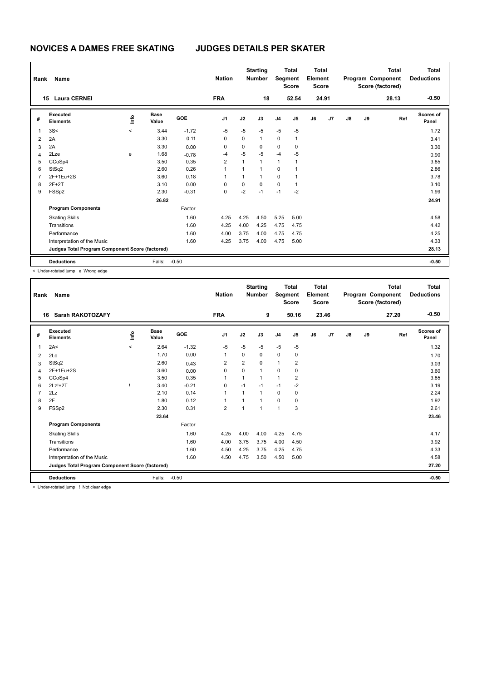| Rank           | Name                                            |         |                      | <b>Nation</b> |                | <b>Starting</b><br><b>Number</b> | Segment        | <b>Total</b><br><b>Score</b> | <b>Total</b><br>Element<br><b>Score</b> |    |       |    | <b>Total</b><br>Program Component<br>Score (factored) | Total<br><b>Deductions</b> |                    |
|----------------|-------------------------------------------------|---------|----------------------|---------------|----------------|----------------------------------|----------------|------------------------------|-----------------------------------------|----|-------|----|-------------------------------------------------------|----------------------------|--------------------|
|                | <b>Laura CERNEI</b><br>15                       |         |                      |               | <b>FRA</b>     |                                  | 18             |                              | 52.54                                   |    | 24.91 |    |                                                       | 28.13                      | $-0.50$            |
| #              | Executed<br><b>Elements</b>                     | ١m      | <b>Base</b><br>Value | <b>GOE</b>    | J <sub>1</sub> | J2                               | J3             | J <sub>4</sub>               | J5                                      | J6 | J7    | J8 | J9                                                    | Ref                        | Scores of<br>Panel |
| 1              | 3S<                                             | $\prec$ | 3.44                 | $-1.72$       | $-5$           | $-5$                             | $-5$           | $-5$                         | $-5$                                    |    |       |    |                                                       |                            | 1.72               |
| $\overline{2}$ | 2A                                              |         | 3.30                 | 0.11          | 0              | 0                                | $\mathbf{1}$   | 0                            | $\mathbf{1}$                            |    |       |    |                                                       |                            | 3.41               |
| 3              | 2A                                              |         | 3.30                 | 0.00          | 0              | 0                                | 0              | 0                            | 0                                       |    |       |    |                                                       |                            | 3.30               |
| 4              | 2Lze                                            | e       | 1.68                 | $-0.78$       | $-4$           | $-5$                             | $-5$           | $-4$                         | $-5$                                    |    |       |    |                                                       |                            | 0.90               |
| 5              | CCoSp4                                          |         | 3.50                 | 0.35          | $\overline{2}$ | $\mathbf{1}$                     | $\mathbf{1}$   | $\mathbf{1}$                 | $\overline{1}$                          |    |       |    |                                                       |                            | 3.85               |
| 6              | StSq2                                           |         | 2.60                 | 0.26          | 1              | 1                                | $\mathbf{1}$   | $\mathbf 0$                  | 1                                       |    |       |    |                                                       |                            | 2.86               |
| $\overline{7}$ | 2F+1Eu+2S                                       |         | 3.60                 | 0.18          | 1              | 1                                | $\overline{1}$ | $\Omega$                     | -1                                      |    |       |    |                                                       |                            | 3.78               |
| 8              | $2F+2T$                                         |         | 3.10                 | 0.00          | 0              | 0                                | $\mathbf 0$    | $\mathbf 0$                  | $\overline{1}$                          |    |       |    |                                                       |                            | 3.10               |
| 9              | FSS <sub>p2</sub>                               |         | 2.30                 | $-0.31$       | $\Omega$       | $-2$                             | $-1$           | $-1$                         | $-2$                                    |    |       |    |                                                       |                            | 1.99               |
|                |                                                 |         | 26.82                |               |                |                                  |                |                              |                                         |    |       |    |                                                       |                            | 24.91              |
|                | <b>Program Components</b>                       |         |                      | Factor        |                |                                  |                |                              |                                         |    |       |    |                                                       |                            |                    |
|                | <b>Skating Skills</b>                           |         |                      | 1.60          | 4.25           | 4.25                             | 4.50           | 5.25                         | 5.00                                    |    |       |    |                                                       |                            | 4.58               |
|                | Transitions                                     |         |                      | 1.60          | 4.25           | 4.00                             | 4.25           | 4.75                         | 4.75                                    |    |       |    |                                                       |                            | 4.42               |
|                | Performance                                     |         |                      | 1.60          | 4.00           | 3.75                             | 4.00           | 4.75                         | 4.75                                    |    |       |    |                                                       |                            | 4.25               |
|                | Interpretation of the Music                     |         |                      | 1.60          | 4.25           | 3.75                             | 4.00           | 4.75                         | 5.00                                    |    |       |    |                                                       |                            | 4.33               |
|                | Judges Total Program Component Score (factored) |         |                      |               |                |                                  |                |                              |                                         |    |       |    |                                                       |                            | 28.13              |
|                | <b>Deductions</b>                               |         | Falls:               | $-0.50$       |                |                                  |                |                              |                                         |    |       |    |                                                       |                            | $-0.50$            |

< Under-rotated jump e Wrong edge

| Rank           | Name                                            |         |                      |            | <b>Nation</b>  |                | <b>Starting</b><br><b>Number</b> | Segment        | <b>Total</b><br><b>Score</b> | <b>Total</b><br>Element<br><b>Score</b> |       |               |    | <b>Total</b><br>Program Component<br>Score (factored) | <b>Total</b><br><b>Deductions</b> |
|----------------|-------------------------------------------------|---------|----------------------|------------|----------------|----------------|----------------------------------|----------------|------------------------------|-----------------------------------------|-------|---------------|----|-------------------------------------------------------|-----------------------------------|
| 16             | <b>Sarah RAKOTOZAFY</b>                         |         |                      |            | <b>FRA</b>     |                | 9                                |                | 50.16                        |                                         | 23.46 |               |    | 27.20                                                 | $-0.50$                           |
| #              | Executed<br><b>Elements</b>                     | info    | <b>Base</b><br>Value | <b>GOE</b> | J <sub>1</sub> | J2             | J3                               | J <sub>4</sub> | J5                           | J6                                      | J7    | $\mathsf{J}8$ | J9 | Ref                                                   | <b>Scores of</b><br>Panel         |
| 1              | 2A<                                             | $\prec$ | 2.64                 | $-1.32$    | $-5$           | $-5$           | $-5$                             | $-5$           | $-5$                         |                                         |       |               |    |                                                       | 1.32                              |
| 2              | 2Lo                                             |         | 1.70                 | 0.00       | 1              | $\Omega$       | $\Omega$                         | $\mathbf 0$    | 0                            |                                         |       |               |    |                                                       | 1.70                              |
| 3              | StSq2                                           |         | 2.60                 | 0.43       | $\overline{2}$ | $\overline{2}$ | $\Omega$                         | $\mathbf{1}$   | 2                            |                                         |       |               |    |                                                       | 3.03                              |
| Δ              | 2F+1Eu+2S                                       |         | 3.60                 | 0.00       | 0              | 0              | $\mathbf{1}$                     | $\mathbf 0$    | 0                            |                                         |       |               |    |                                                       | 3.60                              |
| 5              | CCoSp4                                          |         | 3.50                 | 0.35       | 1              | 1              | 1                                | $\mathbf{1}$   | 2                            |                                         |       |               |    |                                                       | 3.85                              |
| 6              | $2Lz!+2T$                                       |         | 3.40                 | $-0.21$    | 0              | $-1$           | $-1$                             | $-1$           | $-2$                         |                                         |       |               |    |                                                       | 3.19                              |
| $\overline{7}$ | 2Lz                                             |         | 2.10                 | 0.14       | $\mathbf{1}$   | 1              | $\mathbf{1}$                     | 0              | 0                            |                                         |       |               |    |                                                       | 2.24                              |
| 8              | 2F                                              |         | 1.80                 | 0.12       | 1              | $\overline{1}$ | $\overline{1}$                   | $\mathbf 0$    | 0                            |                                         |       |               |    |                                                       | 1.92                              |
| 9              | FSSp2                                           |         | 2.30                 | 0.31       | $\overline{2}$ | 1              | 1                                | $\mathbf{1}$   | 3                            |                                         |       |               |    |                                                       | 2.61                              |
|                |                                                 |         | 23.64                |            |                |                |                                  |                |                              |                                         |       |               |    |                                                       | 23.46                             |
|                | <b>Program Components</b>                       |         |                      | Factor     |                |                |                                  |                |                              |                                         |       |               |    |                                                       |                                   |
|                | <b>Skating Skills</b>                           |         |                      | 1.60       | 4.25           | 4.00           | 4.00                             | 4.25           | 4.75                         |                                         |       |               |    |                                                       | 4.17                              |
|                | Transitions                                     |         |                      | 1.60       | 4.00           | 3.75           | 3.75                             | 4.00           | 4.50                         |                                         |       |               |    |                                                       | 3.92                              |
|                | Performance                                     |         |                      | 1.60       | 4.50           | 4.25           | 3.75                             | 4.25           | 4.75                         |                                         |       |               |    |                                                       | 4.33                              |
|                | Interpretation of the Music                     |         |                      | 1.60       | 4.50           | 4.75           | 3.50                             | 4.50           | 5.00                         |                                         |       |               |    |                                                       | 4.58                              |
|                | Judges Total Program Component Score (factored) |         |                      |            |                |                |                                  |                |                              |                                         |       |               |    |                                                       | 27.20                             |
|                | <b>Deductions</b>                               |         | Falls:               | $-0.50$    |                |                |                                  |                |                              |                                         |       |               |    |                                                       | $-0.50$                           |
|                |                                                 |         |                      |            |                |                |                                  |                |                              |                                         |       |               |    |                                                       |                                   |

< Under-rotated jump ! Not clear edge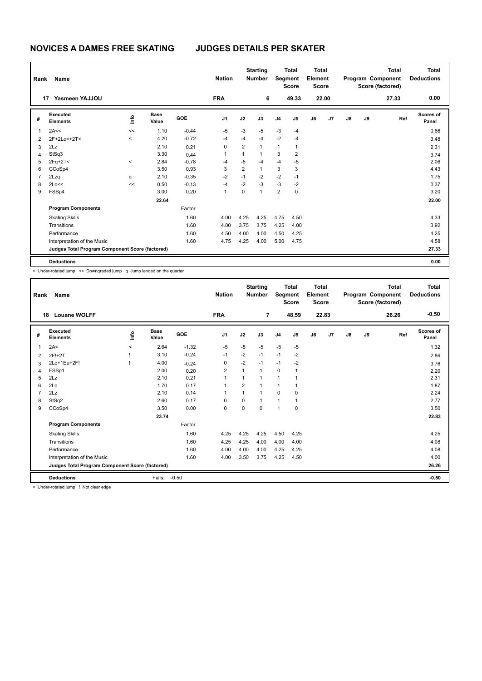| Rank           | Name                                            |         | <b>Nation</b>        |            | <b>Starting</b><br><b>Number</b> |                | <b>Total</b><br>Segment<br><b>Score</b> | <b>Total</b><br>Element<br><b>Score</b> |       |    |       | <b>Total</b><br>Program Component<br>Score (factored) | <b>Total</b><br><b>Deductions</b> |       |                    |
|----------------|-------------------------------------------------|---------|----------------------|------------|----------------------------------|----------------|-----------------------------------------|-----------------------------------------|-------|----|-------|-------------------------------------------------------|-----------------------------------|-------|--------------------|
|                | Yasmeen YAJJOU<br>17                            |         |                      |            | <b>FRA</b>                       |                | 6                                       |                                         | 49.33 |    | 22.00 |                                                       |                                   | 27.33 | 0.00               |
| #              | Executed<br><b>Elements</b>                     | ١mfo    | <b>Base</b><br>Value | <b>GOE</b> | J <sub>1</sub>                   | J2             | J3                                      | J <sub>4</sub>                          | J5    | J6 | J7    | $\mathsf{J}8$                                         | J9                                | Ref   | Scores of<br>Panel |
| $\overline{1}$ | 2A<<                                            | <<      | 1.10                 | $-0.44$    | $-5$                             | $-3$           | $-5$                                    | $-3$                                    | $-4$  |    |       |                                                       |                                   |       | 0.66               |
| $\overline{2}$ | 2F+2Lo<+2T<                                     | $\prec$ | 4.20                 | $-0.72$    | $-4$                             | $-4$           | $-4$                                    | $-2$                                    | $-4$  |    |       |                                                       |                                   |       | 3.48               |
| 3              | 2Lz                                             |         | 2.10                 | 0.21       | 0                                | $\overline{2}$ | 1                                       | $\mathbf{1}$                            | 1     |    |       |                                                       |                                   |       | 2.31               |
| 4              | StSq3                                           |         | 3.30                 | 0.44       | 1                                | 1              | 1                                       | 3                                       | 2     |    |       |                                                       |                                   |       | 3.74               |
| 5              | $2Fq+2T<$                                       | $\,<\,$ | 2.84                 | $-0.78$    | $-4$                             | $-5$           | -4                                      | $-4$                                    | $-5$  |    |       |                                                       |                                   |       | 2.06               |
| 6              | CCoSp4                                          |         | 3.50                 | 0.93       | 3                                | $\overline{2}$ | $\mathbf{1}$                            | 3                                       | 3     |    |       |                                                       |                                   |       | 4.43               |
| $\overline{7}$ | 2Lzq                                            | q       | 2.10                 | $-0.35$    | $-2$                             | $-1$           | $-2$                                    | $-2$                                    | $-1$  |    |       |                                                       |                                   |       | 1.75               |
| 8              | 2Lo<<                                           | <<      | 0.50                 | $-0.13$    | $-4$                             | $-2$           | $-3$                                    | $-3$                                    | $-2$  |    |       |                                                       |                                   |       | 0.37               |
| 9              | FSSp4                                           |         | 3.00                 | 0.20       | 1                                | 0              | 1                                       | $\overline{2}$                          | 0     |    |       |                                                       |                                   |       | 3.20               |
|                |                                                 |         | 22.64                |            |                                  |                |                                         |                                         |       |    |       |                                                       |                                   |       | 22.00              |
|                | <b>Program Components</b>                       |         |                      | Factor     |                                  |                |                                         |                                         |       |    |       |                                                       |                                   |       |                    |
|                | <b>Skating Skills</b>                           |         |                      | 1.60       | 4.00                             | 4.25           | 4.25                                    | 4.75                                    | 4.50  |    |       |                                                       |                                   |       | 4.33               |
|                | Transitions                                     |         |                      | 1.60       | 4.00                             | 3.75           | 3.75                                    | 4.25                                    | 4.00  |    |       |                                                       |                                   |       | 3.92               |
|                | Performance                                     |         |                      | 1.60       | 4.50                             | 4.00           | 4.00                                    | 4.50                                    | 4.25  |    |       |                                                       |                                   |       | 4.25               |
|                | Interpretation of the Music                     |         |                      | 1.60       | 4.75                             | 4.25           | 4.00                                    | 5.00                                    | 4.75  |    |       |                                                       |                                   |       | 4.58               |
|                | Judges Total Program Component Score (factored) |         |                      |            |                                  |                |                                         |                                         |       |    |       |                                                       |                                   |       | 27.33              |
|                | <b>Deductions</b>                               |         |                      |            |                                  |                |                                         |                                         |       |    |       |                                                       |                                   |       | 0.00               |

< Under-rotated jump << Downgraded jump q Jump landed on the quarter

| Rank | Name                                            |          |                      |         | <b>Nation</b>  |                | <b>Starting</b><br><b>Number</b> | Segment        | <b>Total</b><br><b>Score</b> | Total<br>Element<br><b>Score</b> |                |               |    | <b>Total</b><br>Program Component<br>Score (factored) | <b>Total</b><br><b>Deductions</b> |
|------|-------------------------------------------------|----------|----------------------|---------|----------------|----------------|----------------------------------|----------------|------------------------------|----------------------------------|----------------|---------------|----|-------------------------------------------------------|-----------------------------------|
| 18   | <b>Louane WOLFF</b>                             |          |                      |         | <b>FRA</b>     |                | $\overline{7}$                   |                | 48.59                        |                                  | 22.83          |               |    | 26.26                                                 | $-0.50$                           |
| #    | Executed<br><b>Elements</b>                     | ۴ô       | <b>Base</b><br>Value | GOE     | J <sub>1</sub> | J2             | J3                               | J <sub>4</sub> | J <sub>5</sub>               | J6                               | J <sub>7</sub> | $\mathsf{J}8$ | J9 | Ref                                                   | <b>Scores of</b><br>Panel         |
| 1    | 2A<                                             | $\hat{}$ | 2.64                 | $-1.32$ | $-5$           | $-5$           | $-5$                             | $-5$           | $-5$                         |                                  |                |               |    |                                                       | 1.32                              |
| 2    | 2F!+2T                                          |          | 3.10                 | $-0.24$ | $-1$           | $-2$           | $-1$                             | $-1$           | $-2$                         |                                  |                |               |    |                                                       | 2.86                              |
| 3    | 2Lo+1Eu+2F!                                     |          | 4.00                 | $-0.24$ | $\mathbf 0$    | $-2$           | $-1$                             | $-1$           | $-2$                         |                                  |                |               |    |                                                       | 3.76                              |
| 4    | FSSp1                                           |          | 2.00                 | 0.20    | $\overline{2}$ | 1              | 1                                | $\mathbf 0$    | 1                            |                                  |                |               |    |                                                       | 2.20                              |
| 5    | 2Lz                                             |          | 2.10                 | 0.21    | 1              | $\overline{1}$ | $\overline{1}$                   | 1              | 1                            |                                  |                |               |    |                                                       | 2.31                              |
| 6    | 2Lo                                             |          | 1.70                 | 0.17    | 1              | $\overline{2}$ |                                  | 1              |                              |                                  |                |               |    |                                                       | 1.87                              |
|      | 2Lz                                             |          | 2.10                 | 0.14    | 1              | $\overline{1}$ | 1                                | $\Omega$       | $\Omega$                     |                                  |                |               |    |                                                       | 2.24                              |
| 8    | StSq2                                           |          | 2.60                 | 0.17    | $\Omega$       | $\Omega$       | 1                                | 1              | 1                            |                                  |                |               |    |                                                       | 2.77                              |
| 9    | CCoSp4                                          |          | 3.50                 | 0.00    | $\Omega$       | $\Omega$       | $\Omega$                         | $\overline{1}$ | $\Omega$                     |                                  |                |               |    |                                                       | 3.50                              |
|      |                                                 |          | 23.74                |         |                |                |                                  |                |                              |                                  |                |               |    |                                                       | 22.83                             |
|      | <b>Program Components</b>                       |          |                      | Factor  |                |                |                                  |                |                              |                                  |                |               |    |                                                       |                                   |
|      | <b>Skating Skills</b>                           |          |                      | 1.60    | 4.25           | 4.25           | 4.25                             | 4.50           | 4.25                         |                                  |                |               |    |                                                       | 4.25                              |
|      | Transitions                                     |          |                      | 1.60    | 4.25           | 4.25           | 4.00                             | 4.00           | 4.00                         |                                  |                |               |    |                                                       | 4.08                              |
|      | Performance                                     |          |                      | 1.60    | 4.00           | 4.00           | 4.00                             | 4.25           | 4.25                         |                                  |                |               |    |                                                       | 4.08                              |
|      | Interpretation of the Music                     |          |                      | 1.60    | 4.00           | 3.50           | 3.75                             | 4.25           | 4.50                         |                                  |                |               |    |                                                       | 4.00                              |
|      | Judges Total Program Component Score (factored) |          |                      |         |                |                |                                  |                |                              |                                  |                |               |    |                                                       | 26.26                             |
|      | <b>Deductions</b>                               |          | Falls:               | $-0.50$ |                |                |                                  |                |                              |                                  |                |               |    |                                                       | $-0.50$                           |

< Under-rotated jump ! Not clear edge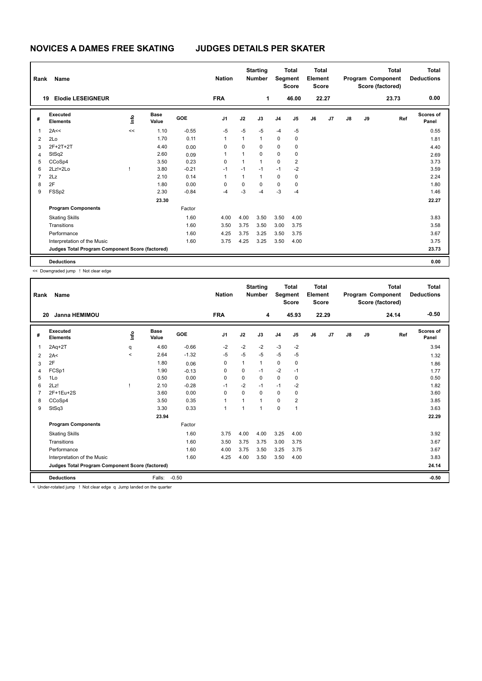| Rank           | Name                                            |      | <b>Nation</b>        |            | <b>Starting</b><br><b>Number</b> |              | <b>Total</b><br>Segment<br><b>Score</b> | <b>Total</b><br>Element<br><b>Score</b> |                |    |       | <b>Total</b><br>Program Component<br>Score (factored) | <b>Total</b><br><b>Deductions</b> |       |                    |
|----------------|-------------------------------------------------|------|----------------------|------------|----------------------------------|--------------|-----------------------------------------|-----------------------------------------|----------------|----|-------|-------------------------------------------------------|-----------------------------------|-------|--------------------|
|                | <b>Elodie LESEIGNEUR</b><br>19                  |      |                      |            | <b>FRA</b>                       |              | 1                                       |                                         | 46.00          |    | 22.27 |                                                       |                                   | 23.73 | 0.00               |
| #              | Executed<br><b>Elements</b>                     | ١mfo | <b>Base</b><br>Value | <b>GOE</b> | J <sub>1</sub>                   | J2           | J3                                      | J <sub>4</sub>                          | J5             | J6 | J7    | $\mathsf{J}8$                                         | J9                                | Ref   | Scores of<br>Panel |
| $\overline{1}$ | 2A<<                                            | <<   | 1.10                 | $-0.55$    | $-5$                             | $-5$         | $-5$                                    | $-4$                                    | $-5$           |    |       |                                                       |                                   |       | 0.55               |
| $\overline{2}$ | 2Lo                                             |      | 1.70                 | 0.11       | 1                                | $\mathbf{1}$ | $\mathbf{1}$                            | $\mathbf 0$                             | 0              |    |       |                                                       |                                   |       | 1.81               |
| 3              | 2F+2T+2T                                        |      | 4.40                 | 0.00       | 0                                | $\mathbf 0$  | $\mathbf 0$                             | $\mathbf 0$                             | 0              |    |       |                                                       |                                   |       | 4.40               |
| 4              | StSq2                                           |      | 2.60                 | 0.09       | 1                                | 1            | $\mathbf 0$                             | $\mathbf 0$                             | 0              |    |       |                                                       |                                   |       | 2.69               |
| 5              | CCoSp4                                          |      | 3.50                 | 0.23       | 0                                | 1            | 1                                       | $\mathbf 0$                             | $\overline{2}$ |    |       |                                                       |                                   |       | 3.73               |
| 6              | $2Lz!+2Lo$                                      |      | 3.80                 | $-0.21$    | $-1$                             | $-1$         | $-1$                                    | $-1$                                    | $-2$           |    |       |                                                       |                                   |       | 3.59               |
| $\overline{7}$ | 2Lz                                             |      | 2.10                 | 0.14       | 1                                | $\mathbf{1}$ | $\mathbf{1}$                            | $\pmb{0}$                               | 0              |    |       |                                                       |                                   |       | 2.24               |
| 8              | 2F                                              |      | 1.80                 | 0.00       | 0                                | $\mathbf 0$  | $\mathbf 0$                             | $\mathbf 0$                             | 0              |    |       |                                                       |                                   |       | 1.80               |
| 9              | FSSp2                                           |      | 2.30                 | $-0.84$    | $-4$                             | $-3$         | -4                                      | $-3$                                    | -4             |    |       |                                                       |                                   |       | 1.46               |
|                |                                                 |      | 23.30                |            |                                  |              |                                         |                                         |                |    |       |                                                       |                                   |       | 22.27              |
|                | <b>Program Components</b>                       |      |                      | Factor     |                                  |              |                                         |                                         |                |    |       |                                                       |                                   |       |                    |
|                | <b>Skating Skills</b>                           |      |                      | 1.60       | 4.00                             | 4.00         | 3.50                                    | 3.50                                    | 4.00           |    |       |                                                       |                                   |       | 3.83               |
|                | Transitions                                     |      |                      | 1.60       | 3.50                             | 3.75         | 3.50                                    | 3.00                                    | 3.75           |    |       |                                                       |                                   |       | 3.58               |
|                | Performance                                     |      |                      | 1.60       | 4.25                             | 3.75         | 3.25                                    | 3.50                                    | 3.75           |    |       |                                                       |                                   |       | 3.67               |
|                | Interpretation of the Music                     |      |                      | 1.60       | 3.75                             | 4.25         | 3.25                                    | 3.50                                    | 4.00           |    |       |                                                       |                                   |       | 3.75               |
|                | Judges Total Program Component Score (factored) |      |                      |            |                                  |              |                                         |                                         |                |    |       |                                                       |                                   |       | 23.73              |
|                | <b>Deductions</b>                               |      |                      |            |                                  |              |                                         |                                         |                |    |       |                                                       |                                   |       | 0.00               |

<< Downgraded jump ! Not clear edge

| Rank | Name                                            |         |                      |         | <b>Nation</b>  |      | <b>Starting</b><br><b>Number</b> | Segment        | <b>Total</b><br><b>Score</b> | <b>Total</b><br>Element<br><b>Score</b> |       |               |    | <b>Total</b><br>Program Component<br>Score (factored) | <b>Total</b><br><b>Deductions</b> |
|------|-------------------------------------------------|---------|----------------------|---------|----------------|------|----------------------------------|----------------|------------------------------|-----------------------------------------|-------|---------------|----|-------------------------------------------------------|-----------------------------------|
| 20   | <b>Janna HEMIMOU</b>                            |         |                      |         | <b>FRA</b>     |      | 4                                |                | 45.93                        |                                         | 22.29 |               |    | 24.14                                                 | $-0.50$                           |
| #    | Executed<br><b>Elements</b>                     | info    | <b>Base</b><br>Value | GOE     | J <sub>1</sub> | J2   | J3                               | J <sub>4</sub> | J5                           | J6                                      | J7    | $\mathsf{J}8$ | J9 | Ref                                                   | <b>Scores of</b><br>Panel         |
| 1    | $2Aq+2T$                                        | q       | 4.60                 | $-0.66$ | $-2$           | $-2$ | $-2$                             | $-3$           | $-2$                         |                                         |       |               |    |                                                       | 3.94                              |
| 2    | 2A<                                             | $\prec$ | 2.64                 | $-1.32$ | $-5$           | $-5$ | -5                               | -5             | $-5$                         |                                         |       |               |    |                                                       | 1.32                              |
| 3    | 2F                                              |         | 1.80                 | 0.06    | 0              | 1    | $\mathbf{1}$                     | 0              | 0                            |                                         |       |               |    |                                                       | 1.86                              |
| 4    | FCSp1                                           |         | 1.90                 | $-0.13$ | $\Omega$       | 0    | $-1$                             | $-2$           | $-1$                         |                                         |       |               |    |                                                       | 1.77                              |
| 5    | 1Lo                                             |         | 0.50                 | 0.00    | 0              | 0    | 0                                | $\mathbf 0$    | 0                            |                                         |       |               |    |                                                       | 0.50                              |
| 6    | 2Lz!                                            |         | 2.10                 | $-0.28$ | $-1$           | $-2$ | $-1$                             | $-1$           | $-2$                         |                                         |       |               |    |                                                       | 1.82                              |
|      | 2F+1Eu+2S                                       |         | 3.60                 | 0.00    | $\Omega$       | 0    | $\Omega$                         | $\mathbf 0$    | 0                            |                                         |       |               |    |                                                       | 3.60                              |
| 8    | CCoSp4                                          |         | 3.50                 | 0.35    | 1              | 1    | 1                                | 0              | $\overline{2}$               |                                         |       |               |    |                                                       | 3.85                              |
| 9    | StSq3                                           |         | 3.30                 | 0.33    | $\mathbf{1}$   | 1    | 1                                | $\mathbf 0$    | 1                            |                                         |       |               |    |                                                       | 3.63                              |
|      |                                                 |         | 23.94                |         |                |      |                                  |                |                              |                                         |       |               |    |                                                       | 22.29                             |
|      | <b>Program Components</b>                       |         |                      | Factor  |                |      |                                  |                |                              |                                         |       |               |    |                                                       |                                   |
|      | <b>Skating Skills</b>                           |         |                      | 1.60    | 3.75           | 4.00 | 4.00                             | 3.25           | 4.00                         |                                         |       |               |    |                                                       | 3.92                              |
|      | Transitions                                     |         |                      | 1.60    | 3.50           | 3.75 | 3.75                             | 3.00           | 3.75                         |                                         |       |               |    |                                                       | 3.67                              |
|      | Performance                                     |         |                      | 1.60    | 4.00           | 3.75 | 3.50                             | 3.25           | 3.75                         |                                         |       |               |    |                                                       | 3.67                              |
|      | Interpretation of the Music                     |         |                      | 1.60    | 4.25           | 4.00 | 3.50                             | 3.50           | 4.00                         |                                         |       |               |    |                                                       | 3.83                              |
|      | Judges Total Program Component Score (factored) |         |                      |         |                |      |                                  |                |                              |                                         |       |               |    |                                                       | 24.14                             |
|      | <b>Deductions</b>                               |         | Falls:               | $-0.50$ |                |      |                                  |                |                              |                                         |       |               |    |                                                       | $-0.50$                           |
|      | .                                               |         |                      |         |                |      |                                  |                |                              |                                         |       |               |    |                                                       |                                   |

< Under-rotated jump ! Not clear edge q Jump landed on the quarter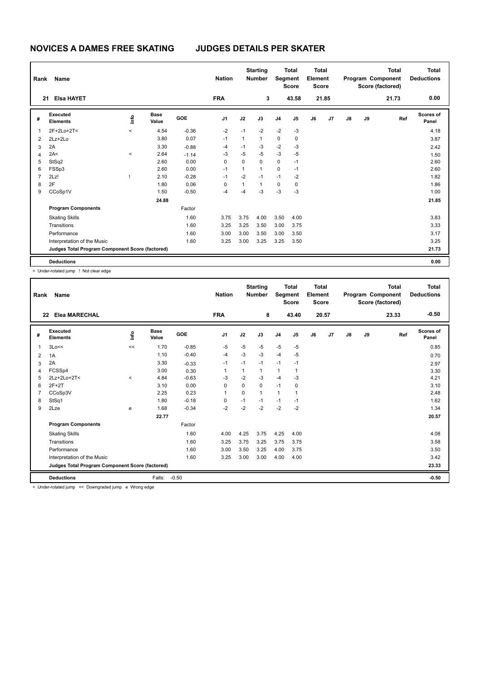| Rank           | Name                                            |         | <b>Nation</b>        |            | <b>Starting</b><br><b>Number</b> |              | <b>Total</b><br>Segment<br><b>Score</b> | <b>Total</b><br>Element<br><b>Score</b> |                |    |       | <b>Total</b><br>Program Component<br>Score (factored) | <b>Total</b><br><b>Deductions</b> |       |                    |
|----------------|-------------------------------------------------|---------|----------------------|------------|----------------------------------|--------------|-----------------------------------------|-----------------------------------------|----------------|----|-------|-------------------------------------------------------|-----------------------------------|-------|--------------------|
|                | <b>Elsa HAYET</b><br>21                         |         |                      |            | <b>FRA</b>                       |              | 3                                       |                                         | 43.58          |    | 21.85 |                                                       |                                   | 21.73 | 0.00               |
| #              | Executed<br><b>Elements</b>                     | ١m      | <b>Base</b><br>Value | <b>GOE</b> | J <sub>1</sub>                   | J2           | J3                                      | J <sub>4</sub>                          | J <sub>5</sub> | J6 | J7    | J8                                                    | J9                                | Ref   | Scores of<br>Panel |
| 1              | 2F+2Lo+2T<                                      | $\prec$ | 4.54                 | $-0.36$    | $-2$                             | $-1$         | $-2$                                    | $-2$                                    | $-3$           |    |       |                                                       |                                   |       | 4.18               |
| $\overline{2}$ | $2Lz + 2Lo$                                     |         | 3.80                 | 0.07       | $-1$                             | $\mathbf{1}$ | $\mathbf{1}$                            | 0                                       | 0              |    |       |                                                       |                                   |       | 3.87               |
| 3              | 2A                                              |         | 3.30                 | $-0.88$    | $-4$                             | $-1$         | -3                                      | $-2$                                    | $-3$           |    |       |                                                       |                                   |       | 2.42               |
| 4              | 2A<                                             | $\,<$   | 2.64                 | $-1.14$    | -3                               | $-5$         | $-5$                                    | $-3$                                    | $-5$           |    |       |                                                       |                                   |       | 1.50               |
| 5              | StSq2                                           |         | 2.60                 | 0.00       | 0                                | 0            | 0                                       | $\mathbf 0$                             | $-1$           |    |       |                                                       |                                   |       | 2.60               |
| 6              | FSSp3                                           |         | 2.60                 | 0.00       | $-1$                             | $\mathbf{1}$ | $\mathbf{1}$                            | 0                                       | $-1$           |    |       |                                                       |                                   |       | 2.60               |
| $\overline{7}$ | 2Lz!                                            |         | 2.10                 | $-0.28$    | $-1$                             | $-2$         | $-1$                                    | $-1$                                    | $-2$           |    |       |                                                       |                                   |       | 1.82               |
| 8              | 2F                                              |         | 1.80                 | 0.06       | 0                                | 1            | $\mathbf{1}$                            | 0                                       | 0              |    |       |                                                       |                                   |       | 1.86               |
| 9              | CCoSp1V                                         |         | 1.50                 | $-0.50$    | $-4$                             | -4           | $-3$                                    | $-3$                                    | $-3$           |    |       |                                                       |                                   |       | 1.00               |
|                |                                                 |         | 24.88                |            |                                  |              |                                         |                                         |                |    |       |                                                       |                                   |       | 21.85              |
|                | <b>Program Components</b>                       |         |                      | Factor     |                                  |              |                                         |                                         |                |    |       |                                                       |                                   |       |                    |
|                | <b>Skating Skills</b>                           |         |                      | 1.60       | 3.75                             | 3.75         | 4.00                                    | 3.50                                    | 4.00           |    |       |                                                       |                                   |       | 3.83               |
|                | Transitions                                     |         |                      | 1.60       | 3.25                             | 3.25         | 3.50                                    | 3.00                                    | 3.75           |    |       |                                                       |                                   |       | 3.33               |
|                | Performance                                     |         |                      | 1.60       | 3.00                             | 3.00         | 3.50                                    | 3.00                                    | 3.50           |    |       |                                                       |                                   |       | 3.17               |
|                | Interpretation of the Music                     |         |                      | 1.60       | 3.25                             | 3.00         | 3.25                                    | 3.25                                    | 3.50           |    |       |                                                       |                                   |       | 3.25               |
|                | Judges Total Program Component Score (factored) |         |                      |            |                                  |              |                                         |                                         |                |    |       |                                                       |                                   |       | 21.73              |
|                | <b>Deductions</b>                               |         |                      |            |                                  |              |                                         |                                         |                |    |       |                                                       |                                   |       | 0.00               |

< Under-rotated jump ! Not clear edge

| Rank | Name                                            |             |                      |         | <b>Nation</b>  |          | <b>Starting</b><br><b>Number</b> | Segment      | <b>Total</b><br><b>Score</b> | <b>Total</b><br>Element<br><b>Score</b> |       |               |    | <b>Total</b><br>Program Component<br>Score (factored) | Total<br><b>Deductions</b> |
|------|-------------------------------------------------|-------------|----------------------|---------|----------------|----------|----------------------------------|--------------|------------------------------|-----------------------------------------|-------|---------------|----|-------------------------------------------------------|----------------------------|
| 22   | <b>Elea MARECHAL</b>                            |             |                      |         | <b>FRA</b>     |          | 8                                |              | 43.40                        |                                         | 20.57 |               |    | 23.33                                                 | $-0.50$                    |
| #    | Executed<br><b>Elements</b>                     | <u>info</u> | <b>Base</b><br>Value | GOE     | J <sub>1</sub> | J2       | J3                               | J4           | J5                           | J6                                      | J7    | $\mathsf{J}8$ | J9 | Ref                                                   | <b>Scores of</b><br>Panel  |
| 1    | 3Lo<<                                           | <<          | 1.70                 | $-0.85$ | $-5$           | $-5$     | -5                               | $-5$         | $-5$                         |                                         |       |               |    |                                                       | 0.85                       |
| 2    | 1A                                              |             | 1.10                 | $-0.40$ | $-4$           | $-3$     | -3                               | $-4$         | $-5$                         |                                         |       |               |    |                                                       | 0.70                       |
| 3    | 2A                                              |             | 3.30                 | $-0.33$ | $-1$           | $-1$     | $-1$                             | $-1$         | $-1$                         |                                         |       |               |    |                                                       | 2.97                       |
| 4    | FCSSp4                                          |             | 3.00                 | 0.30    | 1              | 1        | $\mathbf{1}$                     | $\mathbf{1}$ | 1                            |                                         |       |               |    |                                                       | 3.30                       |
| 5    | 2Lz+2Lo+2T<                                     | $\prec$     | 4.84                 | $-0.63$ | $-3$           | $-2$     | $-3$                             | $-4$         | $-3$                         |                                         |       |               |    |                                                       | 4.21                       |
| 6    | $2F+2T$                                         |             | 3.10                 | 0.00    | 0              | 0        | 0                                | $-1$         | 0                            |                                         |       |               |    |                                                       | 3.10                       |
|      | CCoSp3V                                         |             | 2.25                 | 0.23    | 1              | $\Omega$ | $\mathbf{1}$                     | $\mathbf{1}$ | 1                            |                                         |       |               |    |                                                       | 2.48                       |
| 8    | StSq1                                           |             | 1.80                 | $-0.18$ | 0              | $-1$     | $-1$                             | $-1$         | $-1$                         |                                         |       |               |    |                                                       | 1.62                       |
| 9    | 2Lze                                            | e           | 1.68                 | $-0.34$ | $-2$           | $-2$     | $-2$                             | $-2$         | $-2$                         |                                         |       |               |    |                                                       | 1.34                       |
|      |                                                 |             | 22.77                |         |                |          |                                  |              |                              |                                         |       |               |    |                                                       | 20.57                      |
|      | <b>Program Components</b>                       |             |                      | Factor  |                |          |                                  |              |                              |                                         |       |               |    |                                                       |                            |
|      | <b>Skating Skills</b>                           |             |                      | 1.60    | 4.00           | 4.25     | 3.75                             | 4.25         | 4.00                         |                                         |       |               |    |                                                       | 4.08                       |
|      | Transitions                                     |             |                      | 1.60    | 3.25           | 3.75     | 3.25                             | 3.75         | 3.75                         |                                         |       |               |    |                                                       | 3.58                       |
|      | Performance                                     |             |                      | 1.60    | 3.00           | 3.50     | 3.25                             | 4.00         | 3.75                         |                                         |       |               |    |                                                       | 3.50                       |
|      | Interpretation of the Music                     |             |                      | 1.60    | 3.25           | 3.00     | 3.00                             | 4.00         | 4.00                         |                                         |       |               |    |                                                       | 3.42                       |
|      | Judges Total Program Component Score (factored) |             |                      |         |                |          |                                  |              |                              |                                         |       |               |    |                                                       | 23.33                      |
|      | <b>Deductions</b><br>.                          | $\cdots$    | Falls:               | $-0.50$ |                |          |                                  |              |                              |                                         |       |               |    |                                                       | $-0.50$                    |

< Under-rotated jump << Downgraded jump e Wrong edge